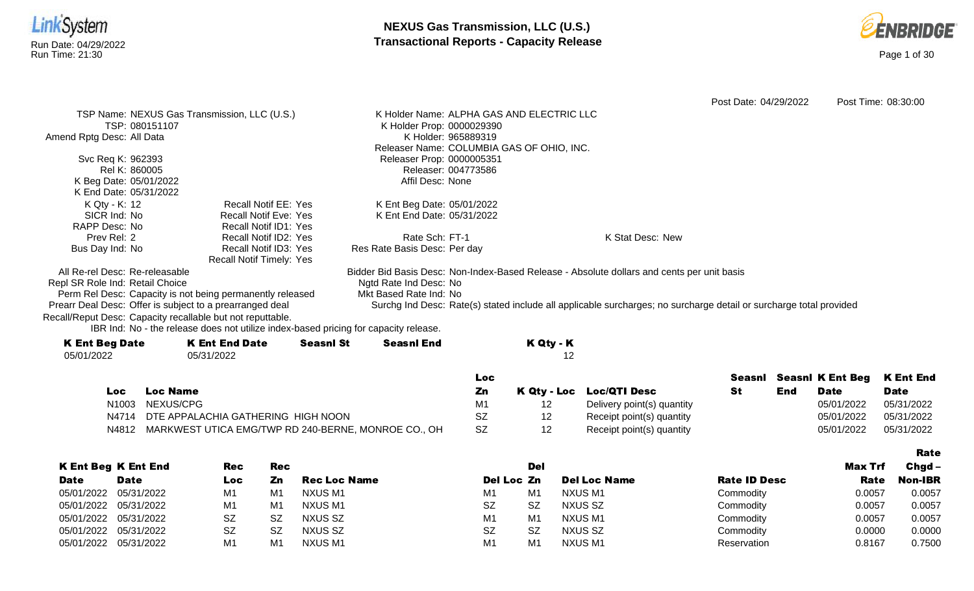



|                                 |                 |                                                                                      |                  |                              |                     |                                           |                                                                                                                    | Post Date: 04/29/2022 |     |                         | Post Time: 08:30:00 |
|---------------------------------|-----------------|--------------------------------------------------------------------------------------|------------------|------------------------------|---------------------|-------------------------------------------|--------------------------------------------------------------------------------------------------------------------|-----------------------|-----|-------------------------|---------------------|
|                                 |                 | TSP Name: NEXUS Gas Transmission, LLC (U.S.)                                         |                  |                              |                     | K Holder Name: ALPHA GAS AND ELECTRIC LLC |                                                                                                                    |                       |     |                         |                     |
|                                 | TSP: 080151107  |                                                                                      |                  | K Holder Prop: 0000029390    |                     |                                           |                                                                                                                    |                       |     |                         |                     |
| Amend Rptg Desc: All Data       |                 |                                                                                      |                  |                              | K Holder: 965889319 |                                           |                                                                                                                    |                       |     |                         |                     |
|                                 |                 |                                                                                      |                  |                              |                     | Releaser Name: COLUMBIA GAS OF OHIO, INC. |                                                                                                                    |                       |     |                         |                     |
| Svc Req K: 962393               |                 |                                                                                      |                  | Releaser Prop: 0000005351    |                     |                                           |                                                                                                                    |                       |     |                         |                     |
|                                 | Rel K: 860005   |                                                                                      |                  |                              | Releaser: 004773586 |                                           |                                                                                                                    |                       |     |                         |                     |
| K Beg Date: 05/01/2022          |                 |                                                                                      |                  | Affil Desc: None             |                     |                                           |                                                                                                                    |                       |     |                         |                     |
| K End Date: 05/31/2022          |                 |                                                                                      |                  |                              |                     |                                           |                                                                                                                    |                       |     |                         |                     |
| K Qty - K: 12                   |                 | <b>Recall Notif EE: Yes</b>                                                          |                  | K Ent Beg Date: 05/01/2022   |                     |                                           |                                                                                                                    |                       |     |                         |                     |
| SICR Ind: No                    |                 | <b>Recall Notif Eve: Yes</b>                                                         |                  | K Ent End Date: 05/31/2022   |                     |                                           |                                                                                                                    |                       |     |                         |                     |
| RAPP Desc: No                   |                 | <b>Recall Notif ID1: Yes</b>                                                         |                  |                              |                     |                                           |                                                                                                                    |                       |     |                         |                     |
| Prev Rel: 2                     |                 | Recall Notif ID2: Yes                                                                |                  | Rate Sch: FT-1               |                     |                                           | K Stat Desc: New                                                                                                   |                       |     |                         |                     |
| Bus Day Ind: No                 |                 | Recall Notif ID3: Yes                                                                |                  | Res Rate Basis Desc: Per day |                     |                                           |                                                                                                                    |                       |     |                         |                     |
|                                 |                 | Recall Notif Timely: Yes                                                             |                  |                              |                     |                                           |                                                                                                                    |                       |     |                         |                     |
| All Re-rel Desc: Re-releasable  |                 |                                                                                      |                  |                              |                     |                                           | Bidder Bid Basis Desc: Non-Index-Based Release - Absolute dollars and cents per unit basis                         |                       |     |                         |                     |
| Repl SR Role Ind: Retail Choice |                 |                                                                                      |                  | Ngtd Rate Ind Desc: No       |                     |                                           |                                                                                                                    |                       |     |                         |                     |
|                                 |                 | Perm Rel Desc: Capacity is not being permanently released                            |                  | Mkt Based Rate Ind: No       |                     |                                           |                                                                                                                    |                       |     |                         |                     |
|                                 |                 | Prearr Deal Desc: Offer is subject to a prearranged deal                             |                  |                              |                     |                                           | Surchg Ind Desc: Rate(s) stated include all applicable surcharges; no surcharge detail or surcharge total provided |                       |     |                         |                     |
|                                 |                 | Recall/Reput Desc: Capacity recallable but not reputtable.                           |                  |                              |                     |                                           |                                                                                                                    |                       |     |                         |                     |
|                                 |                 | IBR Ind: No - the release does not utilize index-based pricing for capacity release. |                  |                              |                     |                                           |                                                                                                                    |                       |     |                         |                     |
| <b>K Ent Beg Date</b>           |                 | <b>K Ent End Date</b>                                                                | <b>Seasnl St</b> | <b>Seasnl End</b>            |                     | K Qty - K                                 |                                                                                                                    |                       |     |                         |                     |
| 05/01/2022                      |                 | 05/31/2022                                                                           |                  |                              |                     | 12                                        |                                                                                                                    |                       |     |                         |                     |
|                                 |                 |                                                                                      |                  |                              |                     |                                           |                                                                                                                    |                       |     |                         |                     |
|                                 |                 |                                                                                      |                  |                              | Loc                 |                                           |                                                                                                                    | Seasnl                |     | <b>Seasni K Ent Beg</b> | <b>K Ent End</b>    |
| <b>Loc</b>                      | <b>Loc Name</b> |                                                                                      |                  |                              | Zn                  | K Qty - Loc                               | <b>Loc/QTI Desc</b>                                                                                                | <b>St</b>             | End | <b>Date</b>             | <b>Date</b>         |
| N <sub>1003</sub>               | NEXUS/CPG       |                                                                                      |                  |                              | M1                  | 12                                        | Delivery point(s) quantity                                                                                         |                       |     | 05/01/2022              | 05/31/2022          |

- N4714 DTE APPALACHIA GATHERING HIGH NOON SZ 12 Receipt point(s) quantity 05/01/2022 05/31/2022
- N4812 MARKWEST UTICA EMG/TWP RD 240-BERNE, MONROE CO., OH SZ 12 Receipt point(s) quantity 05/01/2022 05/31/2022 05/31/2022

|             |                            |           |                |                     |                |           |                     |                     |         | Rate           |
|-------------|----------------------------|-----------|----------------|---------------------|----------------|-----------|---------------------|---------------------|---------|----------------|
|             | <b>K Ent Beg K Ent End</b> | Rec       | <b>Rec</b>     |                     |                | Del       |                     |                     | Max Trf | $Chqd -$       |
| <b>Date</b> | <b>Date</b>                | Loc.      | Zn             | <b>Rec Loc Name</b> | Del Loc Zn     |           | <b>Del Loc Name</b> | <b>Rate ID Desc</b> | Rate    | <b>Non-IBR</b> |
|             | 05/01/2022 05/31/2022      | M1        | M1             | NXUS M1             | M <sub>1</sub> | M1        | NXUS M1             | Commodity           | 0.0057  | 0.0057         |
|             | 05/01/2022 05/31/2022      | M1        | M <sub>1</sub> | NXUS M1             | <b>SZ</b>      | <b>SZ</b> | NXUS SZ             | Commodity           | 0.0057  | 0.0057         |
|             | 05/01/2022 05/31/2022      | <b>SZ</b> | <b>SZ</b>      | NXUS SZ             | M1             | M1        | NXUS M1             | Commodity           | 0.0057  | 0.0057         |
|             | 05/01/2022 05/31/2022      | <b>SZ</b> | <b>SZ</b>      | NXUS SZ             | <b>SZ</b>      | <b>SZ</b> | NXUS SZ             | Commodity           | 0.0000  | 0.0000         |
|             | 05/01/2022 05/31/2022      | M1        | M1             | NXUS M1             | M <sub>1</sub> | M1        | NXUS M1             | Reservation         | 0.8167  | 0.7500         |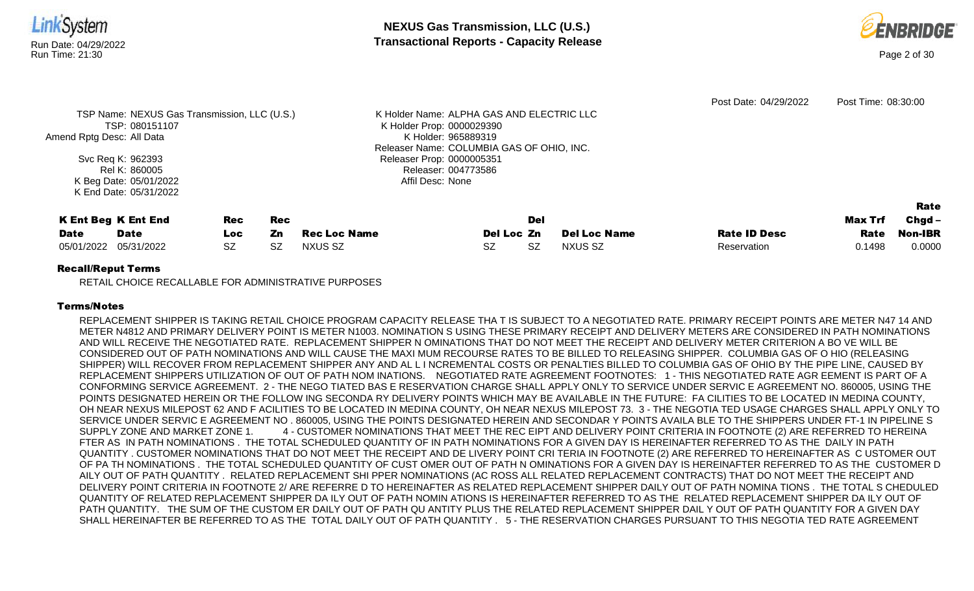

|             | K ENT Beg K ENT ENG | кес | кес |                     |            | Del |                     |                     | Max In | Cnga -         |
|-------------|---------------------|-----|-----|---------------------|------------|-----|---------------------|---------------------|--------|----------------|
| <b>Date</b> | <b>Date</b>         | Loc | Zn. | <b>Rec Loc Name</b> | Del Loc Zn |     | <b>Del Loc Name</b> | <b>Rate ID Desc</b> | Rate   | <b>Non-IBR</b> |
| 05/01/2022  | 05/31/2022          |     | SZ  | NXUS SZ             |            |     | <b>NXUS SZ</b>      | Reservation         | .1498  | 0.0000         |

RETAIL CHOICE RECALLABLE FOR ADMINISTRATIVE PURPOSES

# Terms/Notes

REPLACEMENT SHIPPER IS TAKING RETAIL CHOICE PROGRAM CAPACITY RELEASE THA T IS SUBJECT TO A NEGOTIATED RATE. PRIMARY RECEIPT POINTS ARE METER N47 14 AND METER N4812 AND PRIMARY DELIVERY POINT IS METER N1003. NOMINATION S USING THESE PRIMARY RECEIPT AND DELIVERY METERS ARE CONSIDERED IN PATH NOMINATIONS AND WILL RECEIVE THE NEGOTIATED RATE. REPLACEMENT SHIPPER N OMINATIONS THAT DO NOT MEET THE RECEIPT AND DELIVERY METER CRITERION A BO VE WILL BE CONSIDERED OUT OF PATH NOMINATIONS AND WILL CAUSE THE MAXI MUM RECOURSE RATES TO BE BILLED TO RELEASING SHIPPER. COLUMBIA GAS OF O HIO (RELEASING SHIPPER) WILL RECOVER FROM REPLACEMENT SHIPPER ANY AND AL L I NCREMENTAL COSTS OR PENALTIES BILLED TO COLUMBIA GAS OF OHIO BY THE PIPE LINE, CAUSED BY REPLACEMENT SHIPPERS UTILIZATION OF OUT OF PATH NOM INATIONS. NEGOTIATED RATE AGREEMENT FOOTNOTES: 1 - THIS NEGOTIATED RATE AGR EEMENT IS PART OF A CONFORMING SERVICE AGREEMENT. 2 - THE NEGO TIATED BAS E RESERVATION CHARGE SHALL APPLY ONLY TO SERVICE UNDER SERVIC E AGREEMENT NO. 860005, USING THE POINTS DESIGNATED HEREIN OR THE FOLLOW ING SECONDA RY DELIVERY POINTS WHICH MAY BE AVAILABLE IN THE FUTURE: FA CILITIES TO BE LOCATED IN MEDINA COUNTY, OH NEAR NEXUS MILEPOST 62 AND F ACILITIES TO BE LOCATED IN MEDINA COUNTY, OH NEAR NEXUS MILEPOST 73. 3 - THE NEGOTIA TED USAGE CHARGES SHALL APPLY ONLY TO SERVICE UNDER SERVIC E AGREEMENT NO . 860005, USING THE POINTS DESIGNATED HEREIN AND SECONDAR Y POINTS AVAILA BLE TO THE SHIPPERS UNDER FT-1 IN PIPELINE S SUPPLY ZONE AND MARKET ZONE 1. 4 - CUSTOMER NOMINATIONS THAT MEET THE REC EIPT AND DELIVERY POINT CRITERIA IN FOOTNOTE (2) ARE REFERRED TO HEREINA FTER AS IN PATH NOMINATIONS . THE TOTAL SCHEDULED QUANTITY OF IN PATH NOMINATIONS FOR A GIVEN DAY IS HEREINAFTER REFERRED TO AS THE DAILY IN PATH QUANTITY . CUSTOMER NOMINATIONS THAT DO NOT MEET THE RECEIPT AND DE LIVERY POINT CRI TERIA IN FOOTNOTE (2) ARE REFERRED TO HEREINAFTER AS C USTOMER OUT OF PA TH NOMINATIONS . THE TOTAL SCHEDULED QUANTITY OF CUST OMER OUT OF PATH N OMINATIONS FOR A GIVEN DAY IS HEREINAFTER REFERRED TO AS THE CUSTOMER D AILY OUT OF PATH QUANTITY . RELATED REPLACEMENT SHI PPER NOMINATIONS (AC ROSS ALL RELATED REPLACEMENT CONTRACTS) THAT DO NOT MEET THE RECEIPT AND DELIVERY POINT CRITERIA IN FOOTNOTE 2/ ARE REFERRE D TO HEREINAFTER AS RELATED REPLACEMENT SHIPPER DAILY OUT OF PATH NOMINA TIONS . THE TOTAL S CHEDULED QUANTITY OF RELATED REPLACEMENT SHIPPER DA ILY OUT OF PATH NOMIN ATIONS IS HEREINAFTER REFERRED TO AS THE RELATED REPLACEMENT SHIPPER DA ILY OUT OF PATH QUANTITY. THE SUM OF THE CUSTOM ER DAILY OUT OF PATH QU ANTITY PLUS THE RELATED REPLACEMENT SHIPPER DAIL Y OUT OF PATH QUANTITY FOR A GIVEN DAY SHALL HEREINAFTER BE REFERRED TO AS THE TOTAL DAILY OUT OF PATH QUANTITY . 5 - THE RESERVATION CHARGES PURSUANT TO THIS NEGOTIA TED RATE AGREEMENT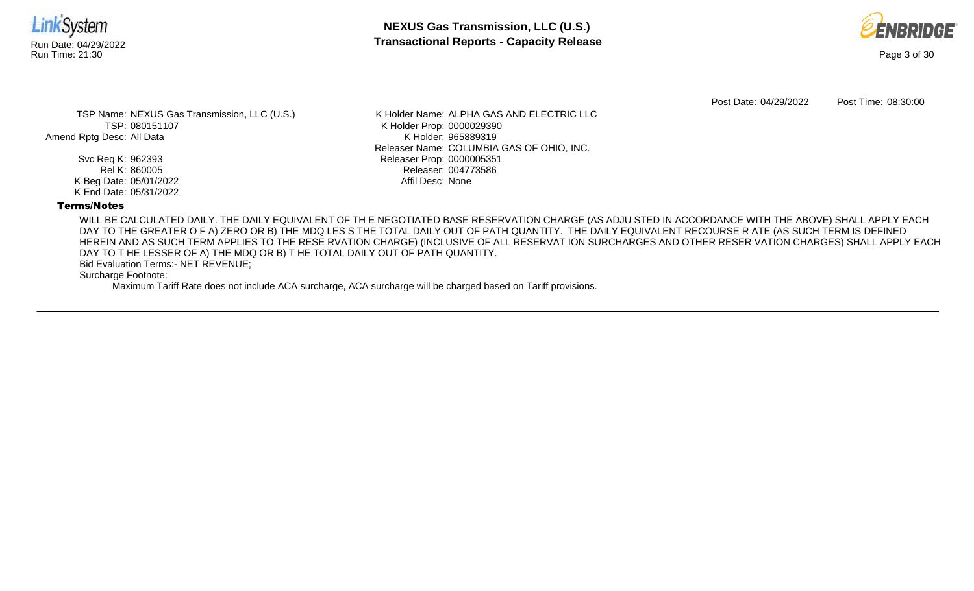



Post Date: 04/29/2022 Post Time: 08:30:00

TSP Name: NEXUS Gas Transmission, LLC (U.S.) TSP: 080151107 Amend Rptg Desc: All Data

> Svc Req K: 962393 Rel K: 860005 K Beg Date: 05/01/2022 K End Date: 05/31/2022

K Holder Name: ALPHA GAS AND ELECTRIC LLC K Holder Prop: 0000029390 K Holder: 965889319 Releaser Name: COLUMBIA GAS OF OHIO, INC. Releaser Prop: 0000005351 Releaser: 004773586 Affil Desc: None

#### Terms/Notes

WILL BE CALCULATED DAILY. THE DAILY EQUIVALENT OF TH E NEGOTIATED BASE RESERVATION CHARGE (AS ADJU STED IN ACCORDANCE WITH THE ABOVE) SHALL APPLY EACH DAY TO THE GREATER O F A) ZERO OR B) THE MDQ LES S THE TOTAL DAILY OUT OF PATH QUANTITY. THE DAILY EQUIVALENT RECOURSE R ATE (AS SUCH TERM IS DEFINED HEREIN AND AS SUCH TERM APPLIES TO THE RESE RVATION CHARGE) (INCLUSIVE OF ALL RESERVAT ION SURCHARGES AND OTHER RESER VATION CHARGES) SHALL APPLY EACH DAY TO T HE LESSER OF A) THE MDQ OR B) T HE TOTAL DAILY OUT OF PATH QUANTITY.

Bid Evaluation Terms:- NET REVENUE;

Surcharge Footnote: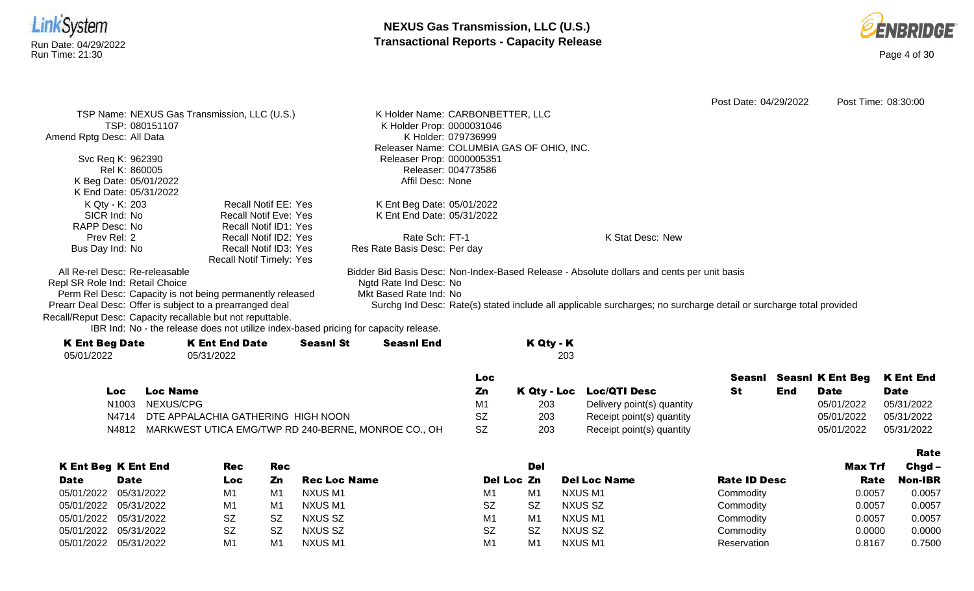



|                                 |                 |                                                                                      |                  |                                           |                     |             |                                                                                                                    | Post Date: 04/29/2022 |     |                                | Post Time: 08:30:00 |
|---------------------------------|-----------------|--------------------------------------------------------------------------------------|------------------|-------------------------------------------|---------------------|-------------|--------------------------------------------------------------------------------------------------------------------|-----------------------|-----|--------------------------------|---------------------|
|                                 |                 | TSP Name: NEXUS Gas Transmission, LLC (U.S.)                                         |                  | K Holder Name: CARBONBETTER, LLC          |                     |             |                                                                                                                    |                       |     |                                |                     |
|                                 | TSP: 080151107  |                                                                                      |                  | K Holder Prop: 0000031046                 |                     |             |                                                                                                                    |                       |     |                                |                     |
| Amend Rptg Desc: All Data       |                 |                                                                                      |                  |                                           | K Holder: 079736999 |             |                                                                                                                    |                       |     |                                |                     |
|                                 |                 |                                                                                      |                  | Releaser Name: COLUMBIA GAS OF OHIO, INC. |                     |             |                                                                                                                    |                       |     |                                |                     |
| Svc Req K: 962390               |                 |                                                                                      |                  | Releaser Prop: 0000005351                 |                     |             |                                                                                                                    |                       |     |                                |                     |
| Rel K: 860005                   |                 |                                                                                      |                  |                                           | Releaser: 004773586 |             |                                                                                                                    |                       |     |                                |                     |
| K Beg Date: 05/01/2022          |                 |                                                                                      |                  | Affil Desc: None                          |                     |             |                                                                                                                    |                       |     |                                |                     |
| K End Date: 05/31/2022          |                 |                                                                                      |                  |                                           |                     |             |                                                                                                                    |                       |     |                                |                     |
| K Qty - K: 203                  |                 | <b>Recall Notif EE: Yes</b>                                                          |                  | K Ent Beg Date: 05/01/2022                |                     |             |                                                                                                                    |                       |     |                                |                     |
| SICR Ind: No                    |                 | <b>Recall Notif Eve: Yes</b>                                                         |                  | K Ent End Date: 05/31/2022                |                     |             |                                                                                                                    |                       |     |                                |                     |
| RAPP Desc: No                   |                 | <b>Recall Notif ID1: Yes</b>                                                         |                  |                                           |                     |             |                                                                                                                    |                       |     |                                |                     |
| Prev Rel: 2                     |                 | Recall Notif ID2: Yes                                                                |                  | Rate Sch: FT-1                            |                     |             | K Stat Desc: New                                                                                                   |                       |     |                                |                     |
| Bus Day Ind: No                 |                 | Recall Notif ID3: Yes                                                                |                  | Res Rate Basis Desc: Per day              |                     |             |                                                                                                                    |                       |     |                                |                     |
|                                 |                 | Recall Notif Timely: Yes                                                             |                  |                                           |                     |             |                                                                                                                    |                       |     |                                |                     |
| All Re-rel Desc: Re-releasable  |                 |                                                                                      |                  |                                           |                     |             | Bidder Bid Basis Desc: Non-Index-Based Release - Absolute dollars and cents per unit basis                         |                       |     |                                |                     |
| Repl SR Role Ind: Retail Choice |                 |                                                                                      |                  | Ngtd Rate Ind Desc: No                    |                     |             |                                                                                                                    |                       |     |                                |                     |
|                                 |                 | Perm Rel Desc: Capacity is not being permanently released                            |                  | Mkt Based Rate Ind: No                    |                     |             |                                                                                                                    |                       |     |                                |                     |
|                                 |                 | Prearr Deal Desc: Offer is subject to a prearranged deal                             |                  |                                           |                     |             | Surchg Ind Desc: Rate(s) stated include all applicable surcharges; no surcharge detail or surcharge total provided |                       |     |                                |                     |
|                                 |                 | Recall/Reput Desc: Capacity recallable but not reputtable.                           |                  |                                           |                     |             |                                                                                                                    |                       |     |                                |                     |
|                                 |                 | IBR Ind: No - the release does not utilize index-based pricing for capacity release. |                  |                                           |                     |             |                                                                                                                    |                       |     |                                |                     |
| <b>K Ent Beg Date</b>           |                 | <b>K Ent End Date</b>                                                                | <b>Seasnl St</b> | <b>Seasnl End</b>                         |                     | K Qty - K   |                                                                                                                    |                       |     |                                |                     |
| 05/01/2022                      |                 | 05/31/2022                                                                           |                  |                                           |                     | 203         |                                                                                                                    |                       |     |                                |                     |
|                                 |                 |                                                                                      |                  |                                           | <b>Loc</b>          |             |                                                                                                                    |                       |     | <b>Seasni</b> Seasni K Ent Beg | <b>K Ent End</b>    |
| <b>Loc</b>                      | <b>Loc Name</b> |                                                                                      |                  |                                           | Zn                  | K Qty - Loc | <b>Loc/QTI Desc</b>                                                                                                | <b>St</b>             | End | <b>Date</b>                    | <b>Date</b>         |
| N1003                           | NEXUS/CPG       |                                                                                      |                  |                                           | M1                  |             |                                                                                                                    |                       |     | 05/01/2022                     | 05/31/2022          |
|                                 |                 |                                                                                      |                  |                                           |                     | 203         | Delivery point(s) quantity                                                                                         |                       |     |                                |                     |
| N4714                           |                 | DTE APPALACHIA GATHERING HIGH NOON                                                   |                  |                                           | <b>SZ</b>           | 203         | Receipt point(s) quantity                                                                                          |                       |     | 05/01/2022                     | 05/31/2022          |
| N4812                           |                 | MARKWEST UTICA EMG/TWP RD 240-BERNE, MONROE CO., OH                                  |                  |                                           | <b>SZ</b>           | 203         | Receipt point(s) quantity                                                                                          |                       |     | 05/01/2022                     | 05/31/2022          |
|                                 |                 |                                                                                      |                  |                                           |                     |             |                                                                                                                    |                       |     |                                | <b>Rate</b>         |

|            |                            |     |     |                     |            |     |                     |                     |         | ------         |
|------------|----------------------------|-----|-----|---------------------|------------|-----|---------------------|---------------------|---------|----------------|
|            | <b>K Ent Beg K Ent End</b> | Rec | Rec |                     |            | Del |                     |                     | Max Trf | $Chqd -$       |
| Date       | <b>Date</b>                | Loc | Zn  | <b>Rec Loc Name</b> | Del Loc Zn |     | <b>Del Loc Name</b> | <b>Rate ID Desc</b> | Rate    | <b>Non-IBR</b> |
| 05/01/2022 | 05/31/2022                 | M1  | M1  | NXUS M1             | M1         | M1  | NXUS M1             | Commodity           | 0.0057  | 0.0057         |
| 05/01/2022 | 05/31/2022                 | M1  | M1  | NXUS M1             | SZ         | -SZ | NXUS SZ             | Commodity           | 0.0057  | 0.0057         |
| 05/01/2022 | 05/31/2022                 | SZ  | SZ  | NXUS SZ             | M1         | M1  | NXUS M1             | Commodity           | 0.0057  | 0.0057         |
| 05/01/2022 | 05/31/2022                 | SZ  | SZ  | <b>NXUS SZ</b>      | SZ         | SZ  | NXUS SZ             | Commodity           | 0.0000  | 0.0000         |
| 05/01/2022 | 05/31/2022                 | M1  | M1  | NXUS M1             | M1         | M1  | NXUS M1             | Reservation         | 0.8167  | 0.7500         |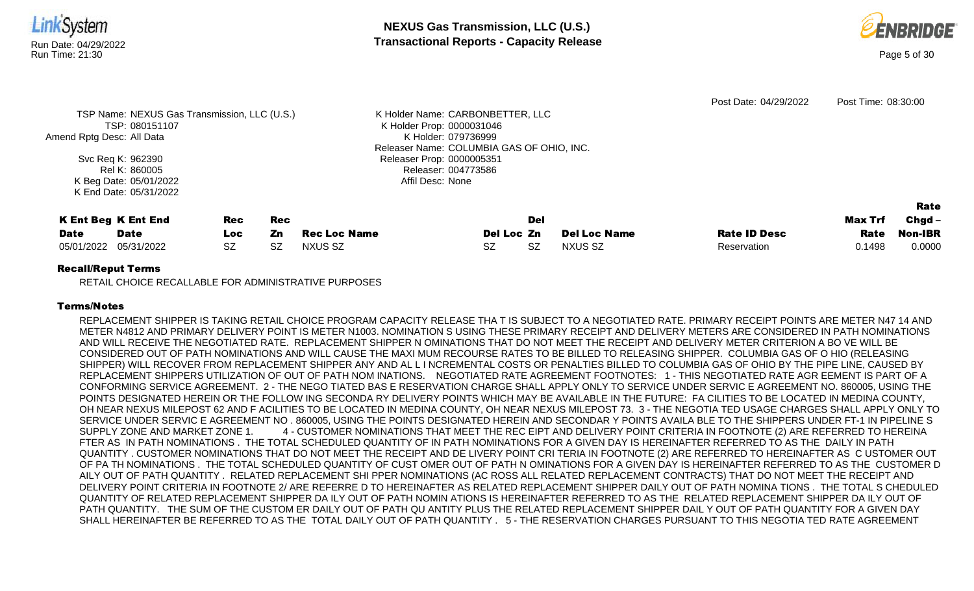



| Amend Rptg Desc: All Data                               | TSP Name: NEXUS Gas Transmission, LLC (U.S.)<br>TSP: 080151107                         |                          |                               |                                | K Holder Name: CARBONBETTER, LLC<br>K Holder Prop: 0000031046<br>K Holder: 079736999<br>Releaser Name: COLUMBIA GAS OF OHIO, INC. |                  |                                       | Post Date: 04/29/2022              | Post Time: 08:30:00       |                                       |
|---------------------------------------------------------|----------------------------------------------------------------------------------------|--------------------------|-------------------------------|--------------------------------|-----------------------------------------------------------------------------------------------------------------------------------|------------------|---------------------------------------|------------------------------------|---------------------------|---------------------------------------|
|                                                         | Svc Req K: 962390<br>Rel K: 860005<br>K Beg Date: 05/01/2022<br>K End Date: 05/31/2022 |                          |                               |                                | Releaser Prop: 0000005351<br>Releaser: 004773586<br>Affil Desc: None                                                              |                  |                                       |                                    |                           |                                       |
| <b>K Ent Beg K Ent End</b><br><b>Date</b><br>05/01/2022 | <b>Date</b><br>05/31/2022                                                              | Rec<br>Loc.<br><b>SZ</b> | <b>Rec</b><br>Zn<br><b>SZ</b> | Rec Loc Name<br><b>NXUS SZ</b> | Del Loc Zn<br><b>SZ</b>                                                                                                           | Del<br><b>SZ</b> | <b>Del Loc Name</b><br><b>NXUS SZ</b> | <b>Rate ID Desc</b><br>Reservation | Max Trf<br>Rate<br>0.1498 | Rate<br>$Chgd -$<br>Non-IBR<br>0.0000 |

RETAIL CHOICE RECALLABLE FOR ADMINISTRATIVE PURPOSES

## Terms/Notes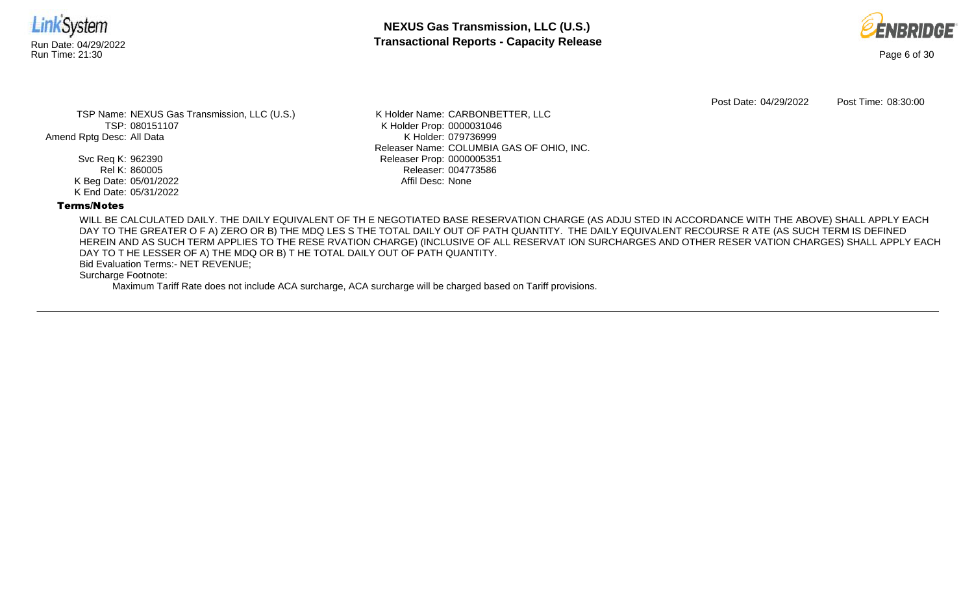



Post Date: 04/29/2022 Post Time: 08:30:00

TSP Name: NEXUS Gas Transmission, LLC (U.S.) TSP: 080151107 Amend Rptg Desc: All Data

> Svc Req K: 962390 Rel K: 860005 K Beg Date: 05/01/2022 K End Date: 05/31/2022

K Holder Name: CARBONBETTER, LLC K Holder Prop: 0000031046 K Holder: 079736999 Releaser Name: COLUMBIA GAS OF OHIO, INC. Releaser Prop: 0000005351 Releaser: 004773586 Affil Desc: None

### Terms/Notes

WILL BE CALCULATED DAILY. THE DAILY EQUIVALENT OF TH E NEGOTIATED BASE RESERVATION CHARGE (AS ADJU STED IN ACCORDANCE WITH THE ABOVE) SHALL APPLY EACH DAY TO THE GREATER O F A) ZERO OR B) THE MDQ LES S THE TOTAL DAILY OUT OF PATH QUANTITY. THE DAILY EQUIVALENT RECOURSE R ATE (AS SUCH TERM IS DEFINED HEREIN AND AS SUCH TERM APPLIES TO THE RESE RVATION CHARGE) (INCLUSIVE OF ALL RESERVAT ION SURCHARGES AND OTHER RESER VATION CHARGES) SHALL APPLY EACH DAY TO T HE LESSER OF A) THE MDQ OR B) T HE TOTAL DAILY OUT OF PATH QUANTITY.

Bid Evaluation Terms:- NET REVENUE;

Surcharge Footnote: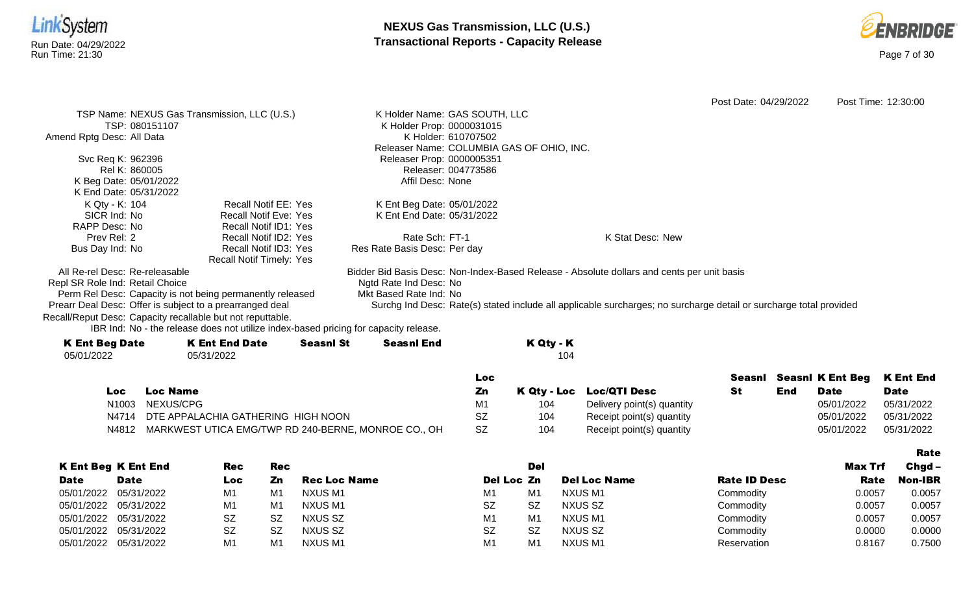



Post Date: 04/29/2022 Post Time: 12:30:00 TSP Name: NEXUS Gas Transmission, LLC (U.S.) TSP: 080151107 Amend Rptg Desc: All Data Svc Req K: 962396 Rel K: 860005 K Beg Date: 05/01/2022 K End Date: 05/31/2022 K Holder Name: GAS SOUTH, LLC K Holder Prop: 0000031015 K Holder: 610707502 Releaser Name: COLUMBIA GAS OF OHIO, INC. Releaser Prop: 0000005351 Releaser: 004773586 Affil Desc: None K Qty - K: 104 SICR Ind: No RAPP Desc: No Prev Rel: 2 Bus Day Ind: No Recall Notif EE: Yes Recall Notif Eve: Yes Recall Notif ID1: Yes Recall Notif ID2: Yes Recall Notif ID3: Yes Recall Notif Timely: Yes K Ent Beg Date: 05/01/2022 K Ent End Date: 05/31/2022 Rate Sch: FT-1 Res Rate Basis Desc: Per day K Stat Desc: New All Re-rel Desc: Re-releasable Repl SR Role Ind: Retail Choice Perm Rel Desc: Capacity is not being permanently released Prearr Deal Desc: Offer is subject to a prearranged deal Bidder Bid Basis Desc: Non-Index-Based Release - Absolute dollars and cents per unit basis Ngtd Rate Ind Desc: No Mkt Based Rate Ind: No Surchg Ind Desc: Rate(s) stated include all applicable surcharges; no surcharge detail or surcharge total provided Recall/Reput Desc: Capacity recallable but not reputtable. IBR Ind: No - the release does not utilize index-based pricing for capacity release. K Ent Beg Date K Ent End Date Seasnl St Seasnl End K Qty - K 05/01/2022 05/31/2022 104 Loc Loc Name Loc Zn K Qty - Loc Loc/QTI Desc Seasnl St Seasnl K Ent Beg End Date K Ent End **Date** 

N1003 NEXUS/CPG 105/31/2022 105/31/2022 104 Delivery point(s) quantity 104 Delivery point(s) quantity 05/01/2022 05/31/2022 N4714 DTE APPALACHIA GATHERING HIGH NOON SZ 104 Receipt point(s) quantity 05/01/2022 05/31/2022 05/31/2022 N4812 MARKWEST UTICA EMG/TWP RD 240-BERNE, MONROE CO., OH SZ 104 Receipt point(s) quantity 05/01/2022 05/31/2022 05/31/2022

K Ent Beg K Ent End Date Date Rec Loc Rec Zn Rec Loc Name Del Loc Zn Del **Del Loc Name Rate ID Desc** Max Trf Rate Rate Chgd-Non-IBR 05/01/2022 05/31/2022 M1 M1 NXUS M1 M1 NXUS M1 Commodity 0.0057 0.0057 05/01/2022 05/31/2022 M1 M1 NXUS M1 SZ SZ NXUS SZ Commodity 0.0057 0.0057 05/01/2022 05/31/2022 SZ SZ NXUS SZ NXUS SZ MXUS M1 M1 NXUS M1 SZ Commodity 0.0057 0.0057 05/01/2022 05/31/2022 SZ SZ NXUS SZ SZ SZ NXUS SZ Commodity 0.0000 0.0000 05/01/2022 05/31/2022 M1 M1 NXUS M1 M1 M1 NXUS M1 Reservation 0.8167 0.7500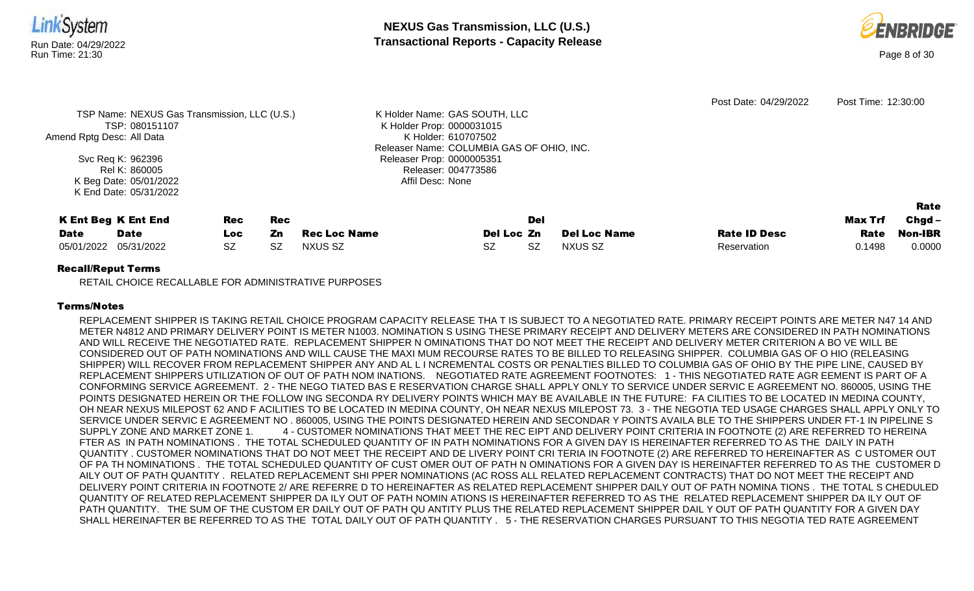



|                           |                                              |            |     |                     |                                           |           |                     | Post Date: 04/29/2022 | Post Time: 12:30:00 |                |
|---------------------------|----------------------------------------------|------------|-----|---------------------|-------------------------------------------|-----------|---------------------|-----------------------|---------------------|----------------|
|                           | TSP Name: NEXUS Gas Transmission, LLC (U.S.) |            |     |                     | K Holder Name: GAS SOUTH, LLC             |           |                     |                       |                     |                |
|                           | TSP: 080151107                               |            |     |                     | K Holder Prop: 0000031015                 |           |                     |                       |                     |                |
| Amend Rptg Desc: All Data |                                              |            |     |                     | K Holder: 610707502                       |           |                     |                       |                     |                |
|                           |                                              |            |     |                     | Releaser Name: COLUMBIA GAS OF OHIO, INC. |           |                     |                       |                     |                |
|                           | Svc Req K: 962396                            |            |     |                     | Releaser Prop: 0000005351                 |           |                     |                       |                     |                |
|                           | Rel K: 860005                                |            |     |                     | Releaser: 004773586                       |           |                     |                       |                     |                |
|                           | K Beg Date: 05/01/2022                       |            |     |                     | Affil Desc: None                          |           |                     |                       |                     |                |
|                           | K End Date: 05/31/2022                       |            |     |                     |                                           |           |                     |                       |                     |                |
|                           |                                              |            |     |                     |                                           |           |                     |                       |                     | Rate           |
|                           | <b>K Ent Beg K Ent End</b>                   | <b>Rec</b> | Rec |                     |                                           | Del       |                     |                       | Max Trf             | $Chgd -$       |
| <b>Date</b>               | <b>Date</b>                                  | Loc.       | Zn  | <b>Rec Loc Name</b> | Del Loc Zn                                |           | <b>Del Loc Name</b> | <b>Rate ID Desc</b>   | Rate                | <b>Non-IBR</b> |
| 05/01/2022                | 05/31/2022                                   | <b>SZ</b>  | SZ. | NXUS SZ             | <b>SZ</b>                                 | <b>SZ</b> | NXUS SZ             | Reservation           | 0.1498              | 0.0000         |
| _ _ _ _ _                 |                                              |            |     |                     |                                           |           |                     |                       |                     |                |

RETAIL CHOICE RECALLABLE FOR ADMINISTRATIVE PURPOSES

## Terms/Notes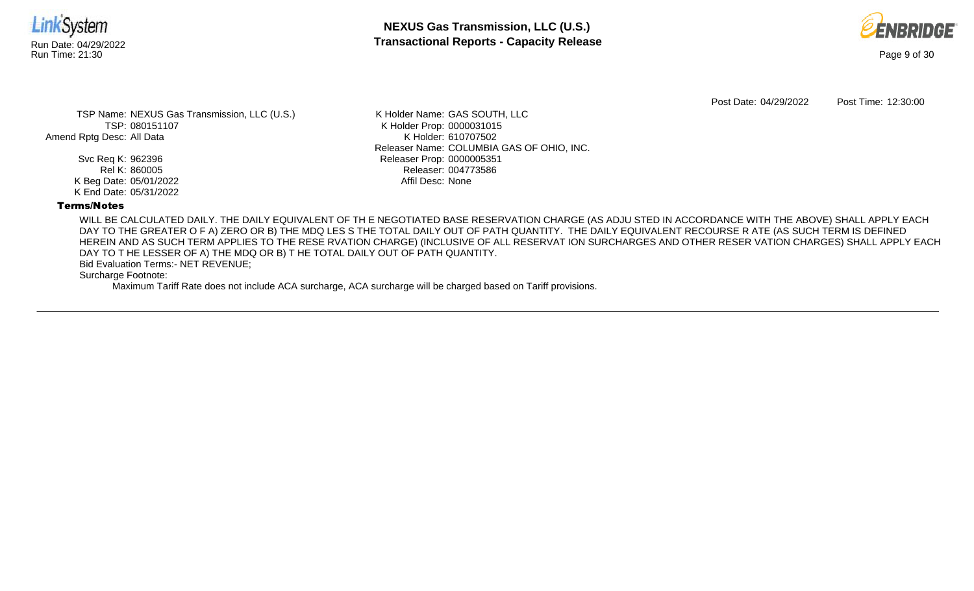



Post Date: 04/29/2022 Post Time: 12:30:00

TSP Name: NEXUS Gas Transmission, LLC (U.S.) TSP: 080151107 Amend Rptg Desc: All Data

> Svc Req K: 962396 Rel K: 860005 K Beg Date: 05/01/2022 K End Date: 05/31/2022

K Holder Name: GAS SOUTH, LLC K Holder Prop: 0000031015 K Holder: 610707502 Releaser Name: COLUMBIA GAS OF OHIO, INC. Releaser Prop: 0000005351 Releaser: 004773586 Affil Desc: None

### Terms/Notes

WILL BE CALCULATED DAILY. THE DAILY EQUIVALENT OF TH E NEGOTIATED BASE RESERVATION CHARGE (AS ADJU STED IN ACCORDANCE WITH THE ABOVE) SHALL APPLY EACH DAY TO THE GREATER O F A) ZERO OR B) THE MDQ LES S THE TOTAL DAILY OUT OF PATH QUANTITY. THE DAILY EQUIVALENT RECOURSE R ATE (AS SUCH TERM IS DEFINED HEREIN AND AS SUCH TERM APPLIES TO THE RESE RVATION CHARGE) (INCLUSIVE OF ALL RESERVAT ION SURCHARGES AND OTHER RESER VATION CHARGES) SHALL APPLY EACH DAY TO T HE LESSER OF A) THE MDQ OR B) T HE TOTAL DAILY OUT OF PATH QUANTITY.

Bid Evaluation Terms:- NET REVENUE;

Surcharge Footnote: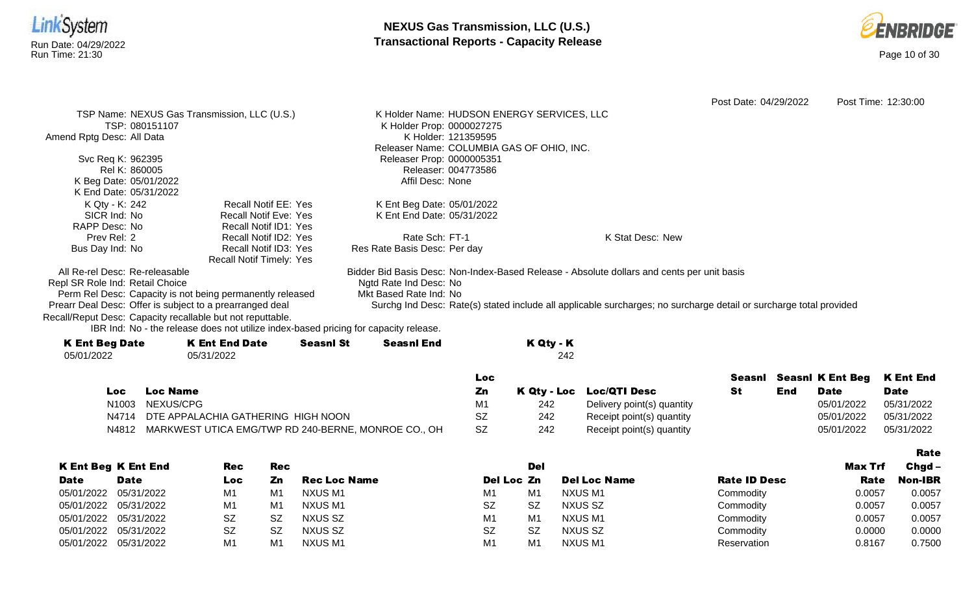



|                                                            |                                                                                      |                              |                     |                                            |                                                                                                                    | Post Date: 04/29/2022 |     |                                | Post Time: 12:30:00 |
|------------------------------------------------------------|--------------------------------------------------------------------------------------|------------------------------|---------------------|--------------------------------------------|--------------------------------------------------------------------------------------------------------------------|-----------------------|-----|--------------------------------|---------------------|
|                                                            | TSP Name: NEXUS Gas Transmission, LLC (U.S.)                                         |                              |                     | K Holder Name: HUDSON ENERGY SERVICES, LLC |                                                                                                                    |                       |     |                                |                     |
| TSP: 080151107                                             |                                                                                      | K Holder Prop: 0000027275    |                     |                                            |                                                                                                                    |                       |     |                                |                     |
| Amend Rptg Desc: All Data                                  |                                                                                      |                              | K Holder: 121359595 |                                            |                                                                                                                    |                       |     |                                |                     |
|                                                            |                                                                                      |                              |                     | Releaser Name: COLUMBIA GAS OF OHIO, INC.  |                                                                                                                    |                       |     |                                |                     |
| Svc Req K: 962395                                          |                                                                                      | Releaser Prop: 0000005351    |                     |                                            |                                                                                                                    |                       |     |                                |                     |
| Rel K: 860005                                              |                                                                                      |                              | Releaser: 004773586 |                                            |                                                                                                                    |                       |     |                                |                     |
| K Beg Date: 05/01/2022                                     |                                                                                      | Affil Desc: None             |                     |                                            |                                                                                                                    |                       |     |                                |                     |
| K End Date: 05/31/2022                                     |                                                                                      |                              |                     |                                            |                                                                                                                    |                       |     |                                |                     |
| K Qty - K: 242                                             | Recall Notif EE: Yes                                                                 | K Ent Beg Date: 05/01/2022   |                     |                                            |                                                                                                                    |                       |     |                                |                     |
| SICR Ind: No                                               | <b>Recall Notif Eve: Yes</b>                                                         | K Ent End Date: 05/31/2022   |                     |                                            |                                                                                                                    |                       |     |                                |                     |
| RAPP Desc: No                                              | Recall Notif ID1: Yes                                                                |                              |                     |                                            |                                                                                                                    |                       |     |                                |                     |
| Prev Rel: 2                                                | Recall Notif ID2: Yes                                                                | Rate Sch: FT-1               |                     |                                            | K Stat Desc: New                                                                                                   |                       |     |                                |                     |
| Bus Day Ind: No                                            | Recall Notif ID3: Yes                                                                | Res Rate Basis Desc: Per day |                     |                                            |                                                                                                                    |                       |     |                                |                     |
|                                                            | Recall Notif Timely: Yes                                                             |                              |                     |                                            |                                                                                                                    |                       |     |                                |                     |
| All Re-rel Desc: Re-releasable                             |                                                                                      |                              |                     |                                            | Bidder Bid Basis Desc: Non-Index-Based Release - Absolute dollars and cents per unit basis                         |                       |     |                                |                     |
| Repl SR Role Ind: Retail Choice                            |                                                                                      | Ngtd Rate Ind Desc: No       |                     |                                            |                                                                                                                    |                       |     |                                |                     |
|                                                            | Perm Rel Desc: Capacity is not being permanently released                            | Mkt Based Rate Ind: No       |                     |                                            |                                                                                                                    |                       |     |                                |                     |
| Prearr Deal Desc: Offer is subject to a prearranged deal   |                                                                                      |                              |                     |                                            | Surchg Ind Desc: Rate(s) stated include all applicable surcharges; no surcharge detail or surcharge total provided |                       |     |                                |                     |
| Recall/Reput Desc: Capacity recallable but not reputtable. |                                                                                      |                              |                     |                                            |                                                                                                                    |                       |     |                                |                     |
|                                                            | IBR Ind: No - the release does not utilize index-based pricing for capacity release. |                              |                     |                                            |                                                                                                                    |                       |     |                                |                     |
| <b>K Ent Beg Date</b>                                      | <b>K Ent End Date</b><br><b>Seasnl St</b>                                            | <b>Seasnl End</b>            |                     | K Qty - K                                  |                                                                                                                    |                       |     |                                |                     |
| 05/01/2022                                                 | 05/31/2022                                                                           |                              |                     | 242                                        |                                                                                                                    |                       |     |                                |                     |
|                                                            |                                                                                      |                              |                     |                                            |                                                                                                                    |                       |     |                                |                     |
|                                                            |                                                                                      |                              | <b>Loc</b>          |                                            |                                                                                                                    |                       |     | <b>Seasni</b> Seasni K Ent Beg | <b>K Ent End</b>    |
| Loc                                                        | <b>Loc Name</b>                                                                      |                              | Zn                  | K Qty - Loc                                | <b>Loc/QTI Desc</b>                                                                                                | <b>St</b>             | End | <b>Date</b>                    | <b>Date</b>         |
| N <sub>1003</sub>                                          | NEXUS/CPG                                                                            |                              | M1                  | 242                                        | Delivery point(s) quantity                                                                                         |                       |     | 05/01/2022                     | 05/31/2022          |

- N4714 DTE APPALACHIA GATHERING HIGH NOON SZ 242 Receipt point(s) quantity 05/01/2022 05/31/2022
- N4812 MARKWEST UTICA EMG/TWP RD 240-BERNE, MONROE CO., OH SZ 242 Receipt point(s) quantity 05/01/2022 05/31/2022 05/31/2022

|                       |                            |            |            |                     |            |                |                     |                     |                | Rate           |
|-----------------------|----------------------------|------------|------------|---------------------|------------|----------------|---------------------|---------------------|----------------|----------------|
|                       | <b>K Ent Beg K Ent End</b> | <b>Rec</b> | <b>Rec</b> |                     |            | Del            |                     |                     | <b>Max Trf</b> | Chgd -         |
| <b>Date</b>           | <b>Date</b>                | Loc        | Zn         | <b>Rec Loc Name</b> | Del Loc Zn |                | <b>Del Loc Name</b> | <b>Rate ID Desc</b> | Rate           | <b>Non-IBR</b> |
| 05/01/2022 05/31/2022 |                            | M1         | M1         | NXUS M1             | M1         | M <sub>1</sub> | NXUS M1             | Commodity           | 0.0057         | 0.0057         |
| 05/01/2022 05/31/2022 |                            | M1         | M1         | NXUS M1             | <b>SZ</b>  | <b>SZ</b>      | NXUS SZ             | Commodity           | 0.0057         | 0.0057         |
| 05/01/2022 05/31/2022 |                            | <b>SZ</b>  | SZ         | NXUS SZ             | M1         | M <sub>1</sub> | NXUS M1             | Commodity           | 0.0057         | 0.0057         |
|                       | 05/01/2022 05/31/2022      | <b>SZ</b>  | -SZ        | NXUS SZ             | <b>SZ</b>  | <b>SZ</b>      | NXUS SZ             | Commodity           | 0.0000         | 0.0000         |
|                       | 05/01/2022 05/31/2022      | M1         | M1         | NXUS M1             | M1         | M <sub>1</sub> | NXUS M1             | Reservation         | 0.8167         | 0.7500         |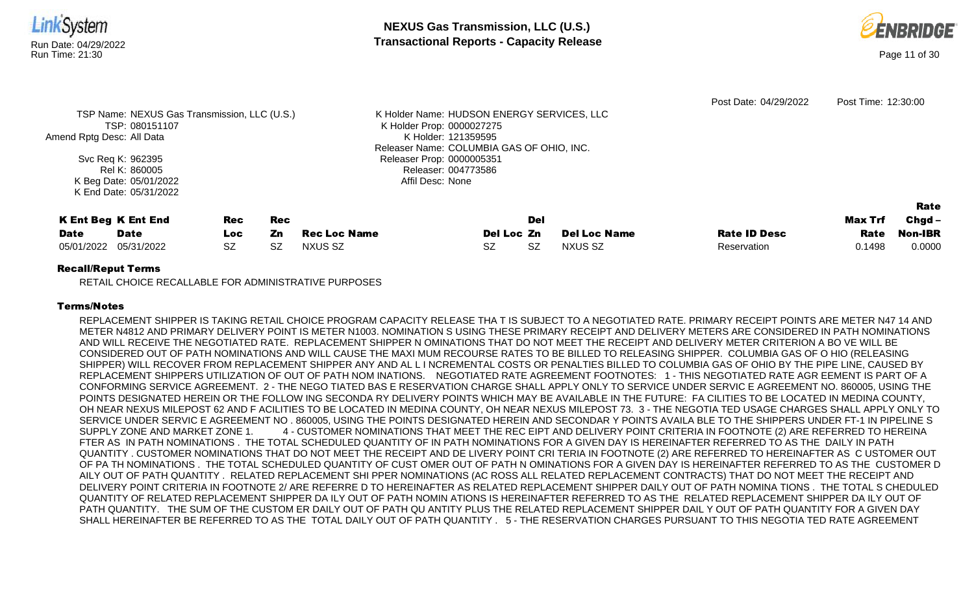

05/01/2022 05/31/2022 SZ SZ NXUS SZ SZ SZ NXUS SZ Reservation 0.1498 0.0000

RETAIL CHOICE RECALLABLE FOR ADMINISTRATIVE PURPOSES

### Terms/Notes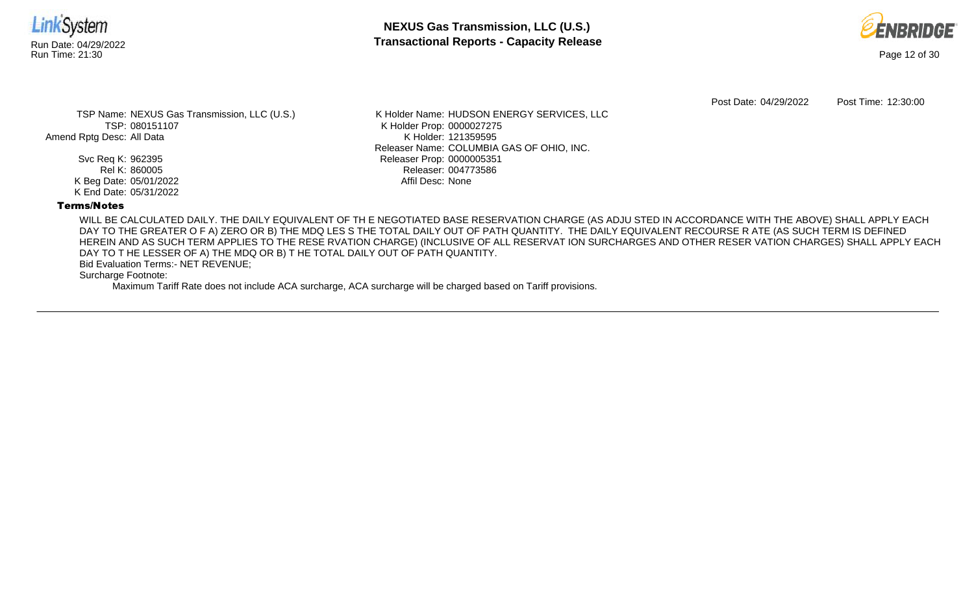



Post Date: 04/29/2022 Post Time: 12:30:00

TSP Name: NEXUS Gas Transmission, LLC (U.S.) TSP: 080151107 Amend Rptg Desc: All Data

> Svc Req K: 962395 Rel K: 860005 K Beg Date: 05/01/2022 K End Date: 05/31/2022

K Holder Name: HUDSON ENERGY SERVICES, LLC K Holder Prop: 0000027275 K Holder: 121359595 Releaser Name: COLUMBIA GAS OF OHIO, INC. Releaser Prop: 0000005351 Releaser: 004773586 Affil Desc: None

### Terms/Notes

WILL BE CALCULATED DAILY. THE DAILY EQUIVALENT OF TH E NEGOTIATED BASE RESERVATION CHARGE (AS ADJU STED IN ACCORDANCE WITH THE ABOVE) SHALL APPLY EACH DAY TO THE GREATER O F A) ZERO OR B) THE MDQ LES S THE TOTAL DAILY OUT OF PATH QUANTITY. THE DAILY EQUIVALENT RECOURSE R ATE (AS SUCH TERM IS DEFINED HEREIN AND AS SUCH TERM APPLIES TO THE RESE RVATION CHARGE) (INCLUSIVE OF ALL RESERVAT ION SURCHARGES AND OTHER RESER VATION CHARGES) SHALL APPLY EACH DAY TO T HE LESSER OF A) THE MDQ OR B) T HE TOTAL DAILY OUT OF PATH QUANTITY.

Bid Evaluation Terms:- NET REVENUE;

Surcharge Footnote: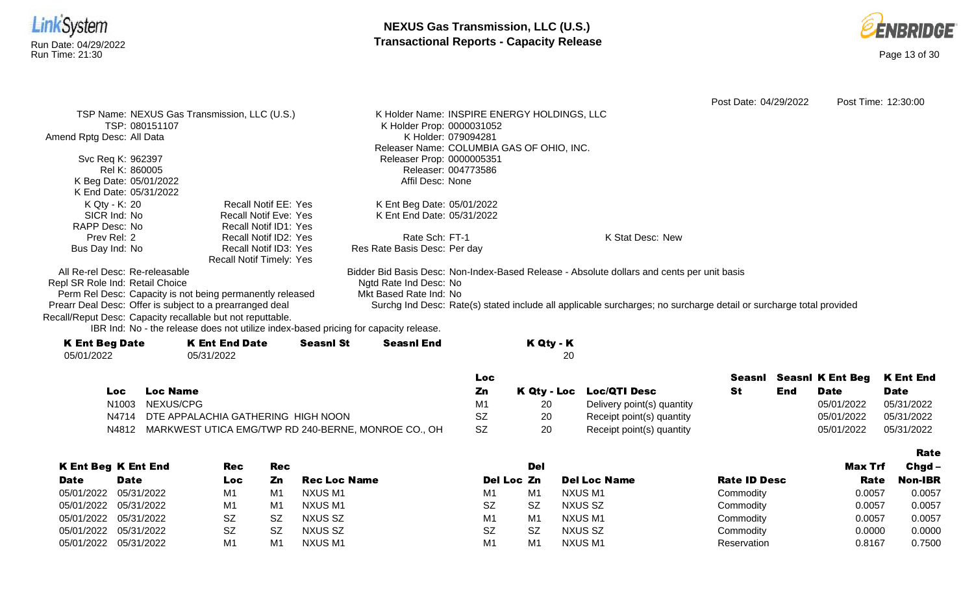



|                                                            |                                                                                      |                  |                              |                                             | Post Date: 04/29/2022                                                                                              | Post Time: 12:30:00 |
|------------------------------------------------------------|--------------------------------------------------------------------------------------|------------------|------------------------------|---------------------------------------------|--------------------------------------------------------------------------------------------------------------------|---------------------|
| TSP: 080151107                                             | TSP Name: NEXUS Gas Transmission, LLC (U.S.)                                         |                  | K Holder Prop: 0000031052    | K Holder Name: INSPIRE ENERGY HOLDINGS, LLC |                                                                                                                    |                     |
| Amend Rptg Desc: All Data                                  |                                                                                      |                  | K Holder: 079094281          |                                             |                                                                                                                    |                     |
|                                                            |                                                                                      |                  |                              | Releaser Name: COLUMBIA GAS OF OHIO, INC.   |                                                                                                                    |                     |
| Svc Req K: 962397                                          |                                                                                      |                  | Releaser Prop: 0000005351    |                                             |                                                                                                                    |                     |
| Rel K: 860005                                              |                                                                                      |                  | Releaser: 004773586          |                                             |                                                                                                                    |                     |
| K Beg Date: 05/01/2022                                     |                                                                                      |                  | Affil Desc: None             |                                             |                                                                                                                    |                     |
| K End Date: 05/31/2022                                     |                                                                                      |                  |                              |                                             |                                                                                                                    |                     |
| K Qty - K: 20                                              | <b>Recall Notif EE: Yes</b>                                                          |                  | K Ent Beg Date: 05/01/2022   |                                             |                                                                                                                    |                     |
| SICR Ind: No                                               | <b>Recall Notif Eve: Yes</b>                                                         |                  | K Ent End Date: 05/31/2022   |                                             |                                                                                                                    |                     |
| RAPP Desc: No                                              | Recall Notif ID1: Yes                                                                |                  |                              |                                             |                                                                                                                    |                     |
| Prev Rel: 2                                                | Recall Notif ID2: Yes                                                                |                  | Rate Sch: FT-1               |                                             | K Stat Desc: New                                                                                                   |                     |
| Bus Day Ind: No                                            | Recall Notif ID3: Yes                                                                |                  | Res Rate Basis Desc: Per day |                                             |                                                                                                                    |                     |
|                                                            | <b>Recall Notif Timely: Yes</b>                                                      |                  |                              |                                             |                                                                                                                    |                     |
| All Re-rel Desc: Re-releasable                             |                                                                                      |                  |                              |                                             | Bidder Bid Basis Desc: Non-Index-Based Release - Absolute dollars and cents per unit basis                         |                     |
| Repl SR Role Ind: Retail Choice                            |                                                                                      |                  | Ngtd Rate Ind Desc: No       |                                             |                                                                                                                    |                     |
|                                                            | Perm Rel Desc: Capacity is not being permanently released                            |                  | Mkt Based Rate Ind: No       |                                             |                                                                                                                    |                     |
| Prearr Deal Desc: Offer is subject to a prearranged deal   |                                                                                      |                  |                              |                                             | Surchg Ind Desc: Rate(s) stated include all applicable surcharges; no surcharge detail or surcharge total provided |                     |
| Recall/Reput Desc: Capacity recallable but not reputtable. |                                                                                      |                  |                              |                                             |                                                                                                                    |                     |
|                                                            | IBR Ind: No - the release does not utilize index-based pricing for capacity release. |                  |                              |                                             |                                                                                                                    |                     |
| <b>K Ent Beg Date</b>                                      | <b>K Ent End Date</b>                                                                | <b>Seasnl St</b> | <b>Seasnl End</b>            | K Qty - K                                   |                                                                                                                    |                     |
| 05/01/2022                                                 | 05/31/2022                                                                           |                  |                              | 20                                          |                                                                                                                    |                     |

|       |                                                     | Loc.      |                            | Seasnl |     | <b>Seasni K Ent Beg K Ent End</b> |             |
|-------|-----------------------------------------------------|-----------|----------------------------|--------|-----|-----------------------------------|-------------|
| LOC.  | <b>Loc Name</b>                                     | Zn.       | K Qty - Loc Loc/QTI Desc   |        | End | <b>Date</b>                       | <b>Date</b> |
|       | N1003 NEXUS/CPG                                     |           | Delivery point(s) quantity |        |     | 05/01/2022                        | 05/31/2022  |
|       | N4714 DTE APPALACHIA GATHERING HIGH NOON            | <b>SZ</b> | Receipt point(s) quantity  |        |     | 05/01/2022                        | 05/31/2022  |
| N4812 | MARKWEST UTICA EMG/TWP RD 240-BERNE, MONROE CO., OH | <b>SZ</b> | Receipt point(s) quantity  |        |     | 05/01/2022                        | 05/31/2022  |

|             |                            |           |           |                     |                |                |                     |                     |         | Rate           |
|-------------|----------------------------|-----------|-----------|---------------------|----------------|----------------|---------------------|---------------------|---------|----------------|
|             | <b>K Ent Beg K Ent End</b> | Rec       | Rec       |                     |                | Del            |                     |                     | Max Trf | $Chqd -$       |
| <b>Date</b> | <b>Date</b>                | Loc       | Zn        | <b>Rec Loc Name</b> | Del Loc Zn     |                | <b>Del Loc Name</b> | <b>Rate ID Desc</b> | Rate    | <b>Non-IBR</b> |
| 05/01/2022  | 05/31/2022                 | M1        | M1        | NXUS M1             | M1             | M1             | NXUS M1             | Commodity           | 0.0057  | 0.0057         |
|             | 05/01/2022 05/31/2022      | M1        | M1        | NXUS M1             | <b>SZ</b>      | <b>SZ</b>      | NXUS SZ             | Commodity           | 0.0057  | 0.0057         |
|             | 05/01/2022 05/31/2022      | <b>SZ</b> | <b>SZ</b> | NXUS SZ             | M1             | M <sub>1</sub> | NXUS M1             | Commodity           | 0.0057  | 0.0057         |
|             | 05/01/2022 05/31/2022      | <b>SZ</b> | SZ        | NXUS SZ             | <b>SZ</b>      | <b>SZ</b>      | NXUS SZ             | Commodity           | 0.0000  | 0.0000         |
| 05/01/2022  | 05/31/2022                 | M1        | M1        | NXUS M1             | M <sub>1</sub> | M <sub>1</sub> | NXUS M1             | Reservation         | 0.8167  | 0.7500         |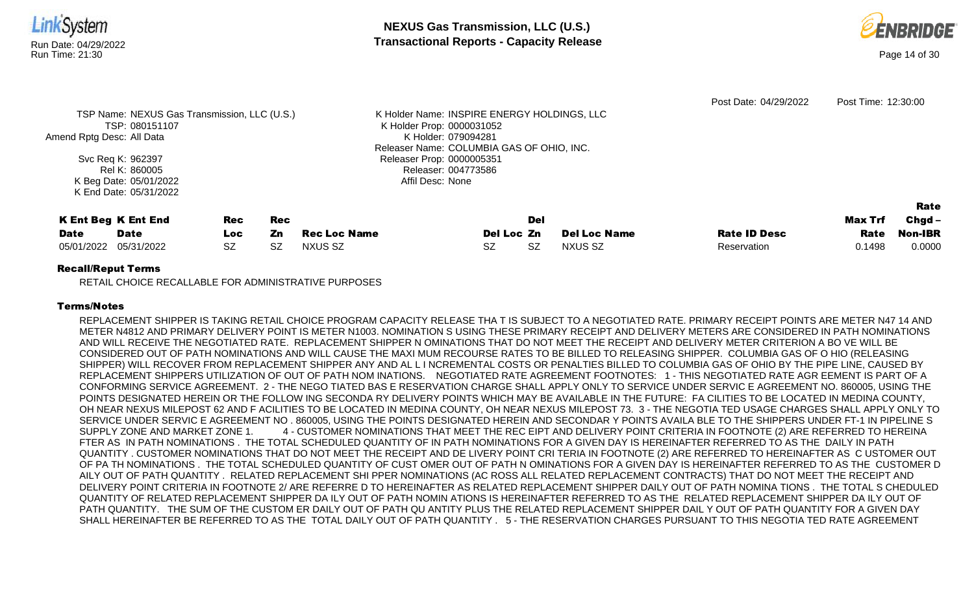

RETAIL CHOICE RECALLABLE FOR ADMINISTRATIVE PURPOSES

### Terms/Notes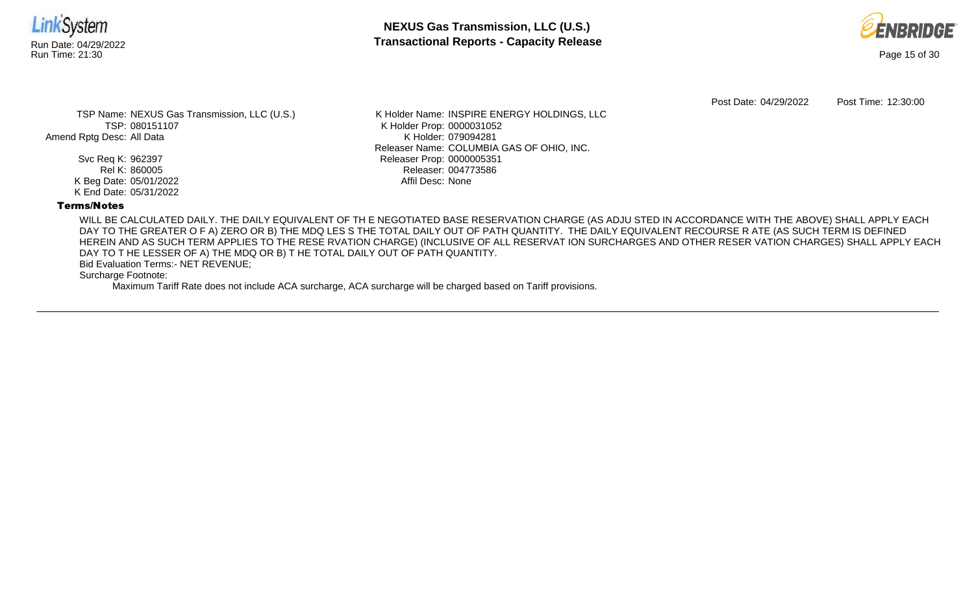



Post Date: 04/29/2022 Post Time: 12:30:00

TSP Name: NEXUS Gas Transmission, LLC (U.S.) TSP: 080151107 Amend Rptg Desc: All Data

> Svc Req K: 962397 Rel K: 860005 K Beg Date: 05/01/2022 K End Date: 05/31/2022

K Holder Name: INSPIRE ENERGY HOLDINGS, LLC K Holder Prop: 0000031052 K Holder: 079094281 Releaser Name: COLUMBIA GAS OF OHIO, INC. Releaser Prop: 0000005351 Releaser: 004773586 Affil Desc: None

### Terms/Notes

WILL BE CALCULATED DAILY. THE DAILY EQUIVALENT OF TH E NEGOTIATED BASE RESERVATION CHARGE (AS ADJU STED IN ACCORDANCE WITH THE ABOVE) SHALL APPLY EACH DAY TO THE GREATER O F A) ZERO OR B) THE MDQ LES S THE TOTAL DAILY OUT OF PATH QUANTITY. THE DAILY EQUIVALENT RECOURSE R ATE (AS SUCH TERM IS DEFINED HEREIN AND AS SUCH TERM APPLIES TO THE RESE RVATION CHARGE) (INCLUSIVE OF ALL RESERVAT ION SURCHARGES AND OTHER RESER VATION CHARGES) SHALL APPLY EACH DAY TO T HE LESSER OF A) THE MDQ OR B) T HE TOTAL DAILY OUT OF PATH QUANTITY.

Bid Evaluation Terms:- NET REVENUE;

Surcharge Footnote: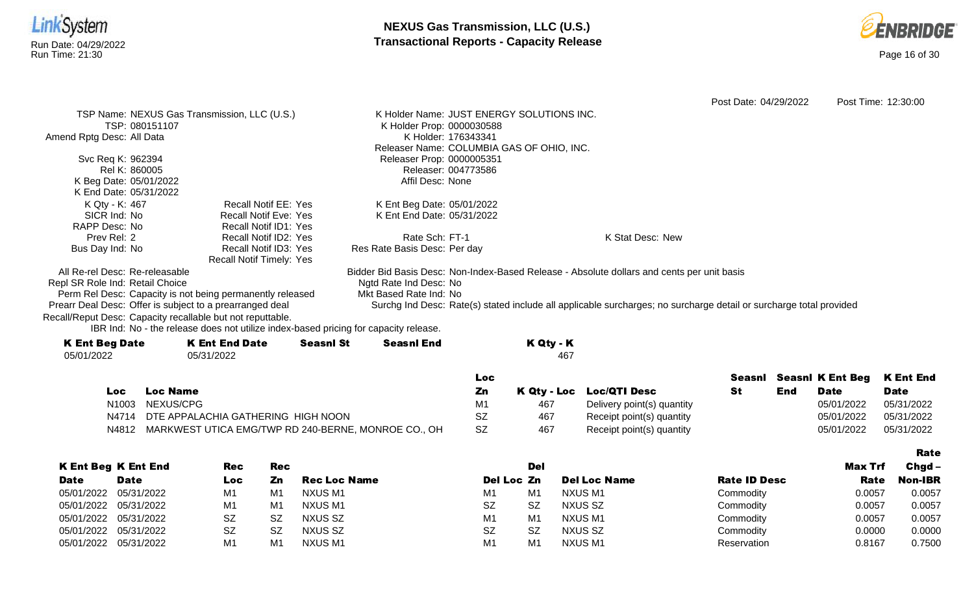



|                                                            |                                                                                      |                                       |                                                                                            | Post Date: 04/29/2022                                                                                              | Post Time: 12:30:00 |
|------------------------------------------------------------|--------------------------------------------------------------------------------------|---------------------------------------|--------------------------------------------------------------------------------------------|--------------------------------------------------------------------------------------------------------------------|---------------------|
|                                                            | TSP Name: NEXUS Gas Transmission, LLC (U.S.)                                         |                                       | K Holder Name: JUST ENERGY SOLUTIONS INC.                                                  |                                                                                                                    |                     |
| TSP: 080151107                                             |                                                                                      | K Holder Prop: 0000030588             |                                                                                            |                                                                                                                    |                     |
| Amend Rptg Desc: All Data                                  |                                                                                      |                                       | K Holder: 176343341                                                                        |                                                                                                                    |                     |
|                                                            |                                                                                      |                                       | Releaser Name: COLUMBIA GAS OF OHIO, INC.                                                  |                                                                                                                    |                     |
| Svc Req K: 962394                                          |                                                                                      | Releaser Prop: 0000005351             |                                                                                            |                                                                                                                    |                     |
| Rel K: 860005                                              |                                                                                      |                                       | Releaser: 004773586                                                                        |                                                                                                                    |                     |
| K Beg Date: 05/01/2022                                     |                                                                                      | Affil Desc: None                      |                                                                                            |                                                                                                                    |                     |
| K End Date: 05/31/2022                                     |                                                                                      |                                       |                                                                                            |                                                                                                                    |                     |
| K Qty - K: 467                                             | Recall Notif EE: Yes                                                                 | K Ent Beg Date: 05/01/2022            |                                                                                            |                                                                                                                    |                     |
| SICR Ind: No                                               | <b>Recall Notif Eve: Yes</b>                                                         | K Ent End Date: 05/31/2022            |                                                                                            |                                                                                                                    |                     |
| RAPP Desc: No                                              | Recall Notif ID1: Yes                                                                |                                       |                                                                                            |                                                                                                                    |                     |
| Prev Rel: 2                                                | Recall Notif ID2: Yes                                                                | Rate Sch: FT-1                        |                                                                                            | K Stat Desc: New                                                                                                   |                     |
| Bus Day Ind: No                                            | Recall Notif ID3: Yes                                                                | Res Rate Basis Desc: Per day          |                                                                                            |                                                                                                                    |                     |
|                                                            | Recall Notif Timely: Yes                                                             |                                       |                                                                                            |                                                                                                                    |                     |
| All Re-rel Desc: Re-releasable                             |                                                                                      |                                       | Bidder Bid Basis Desc: Non-Index-Based Release - Absolute dollars and cents per unit basis |                                                                                                                    |                     |
| Repl SR Role Ind: Retail Choice                            |                                                                                      | Ngtd Rate Ind Desc: No                |                                                                                            |                                                                                                                    |                     |
|                                                            | Perm Rel Desc: Capacity is not being permanently released                            | Mkt Based Rate Ind: No                |                                                                                            |                                                                                                                    |                     |
| Prearr Deal Desc: Offer is subject to a prearranged deal   |                                                                                      |                                       |                                                                                            | Surchg Ind Desc: Rate(s) stated include all applicable surcharges; no surcharge detail or surcharge total provided |                     |
| Recall/Reput Desc: Capacity recallable but not reputtable. |                                                                                      |                                       |                                                                                            |                                                                                                                    |                     |
|                                                            | IBR Ind: No - the release does not utilize index-based pricing for capacity release. |                                       |                                                                                            |                                                                                                                    |                     |
| <b>K Ent Beg Date</b>                                      | <b>K Ent End Date</b>                                                                | <b>Seasnl End</b><br><b>Seasnl St</b> | K Qty - K                                                                                  |                                                                                                                    |                     |
| 05/01/2022                                                 | 05/31/2022                                                                           |                                       | 467                                                                                        |                                                                                                                    |                     |

|     |                                                           | Loc |     |                            |    |     |             | Seasnl Seasnl K Ent Beg K Ent End |
|-----|-----------------------------------------------------------|-----|-----|----------------------------|----|-----|-------------|-----------------------------------|
| Loc | <b>Loc Name</b>                                           | Zn. |     | K Qty - Loc Loc/QTI Desc   | St | End | <b>Date</b> | <b>Date</b>                       |
|     | N1003 NEXUS/CPG                                           | M1  | 467 | Delivery point(s) quantity |    |     | 05/01/2022  | 05/31/2022                        |
|     | N4714 DTE APPALACHIA GATHERING HIGH NOON                  | SZ  | 467 | Receipt point(s) quantity  |    |     | 05/01/2022  | 05/31/2022                        |
|     | N4812 MARKWEST UTICA EMG/TWP RD 240-BERNE, MONROE CO., OH | SZ  | 467 | Receipt point(s) quantity  |    |     | 05/01/2022  | 05/31/2022                        |

|                       |                            |            |           |                     |                |                |                     |                     |         | Rate           |
|-----------------------|----------------------------|------------|-----------|---------------------|----------------|----------------|---------------------|---------------------|---------|----------------|
|                       | <b>K Ent Beg K Ent End</b> | <b>Rec</b> | Rec       |                     |                | Del            |                     |                     | Max Trf | $Chgd -$       |
| <b>Date</b>           | <b>Date</b>                | Loc        | Zn        | <b>Rec Loc Name</b> | Del Loc Zn     |                | <b>Del Loc Name</b> | <b>Rate ID Desc</b> | Rate    | <b>Non-IBR</b> |
| 05/01/2022            | 05/31/2022                 | M1         | M1        | NXUS M1             | M <sub>1</sub> | M <sub>1</sub> | NXUS M1             | Commodity           | 0.0057  | 0.0057         |
| 05/01/2022 05/31/2022 |                            | M1         | M1        | NXUS M1             | <b>SZ</b>      | <b>SZ</b>      | NXUS SZ             | Commodity           | 0.0057  | 0.0057         |
| 05/01/2022 05/31/2022 |                            | <b>SZ</b>  | SZ        | NXUS SZ             | M <sub>1</sub> | M <sub>1</sub> | NXUS M1             | Commodity           | 0.0057  | 0.0057         |
| 05/01/2022 05/31/2022 |                            | <b>SZ</b>  | <b>SZ</b> | NXUS SZ             | <b>SZ</b>      | <b>SZ</b>      | NXUS SZ             | Commodity           | 0.0000  | 0.0000         |
| 05/01/2022 05/31/2022 |                            | M1         | M1        | NXUS M1             | M <sub>1</sub> | M <sub>1</sub> | NXUS M1             | Reservation         | 0.8167  | 0.7500         |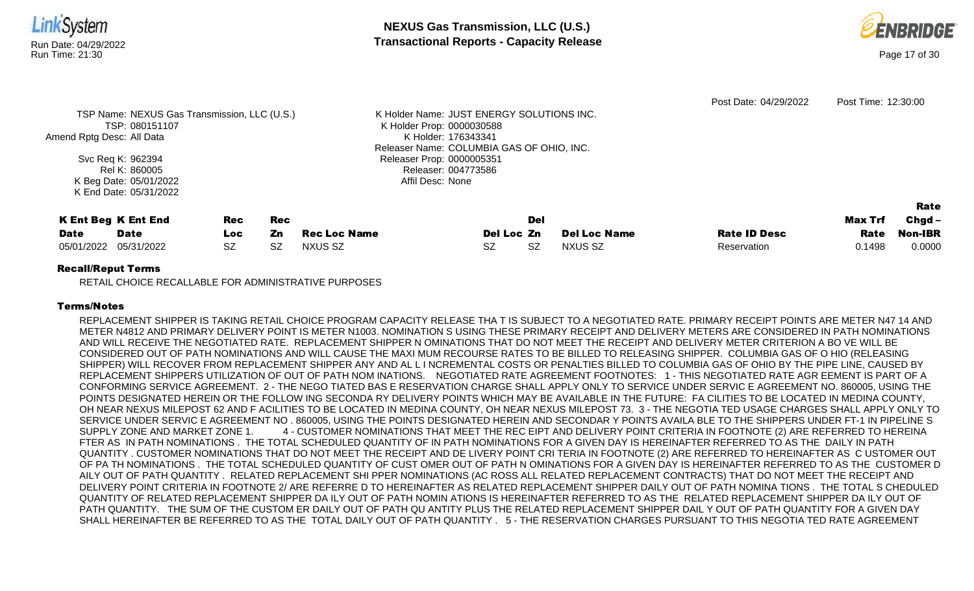

|                       | <b>K Ent Beg K Ent End</b> | Rec        | Rec |                |            | <b>Del</b> |                     |                     | <b>Max Trf</b> | .<br>$Chgd -$  |
|-----------------------|----------------------------|------------|-----|----------------|------------|------------|---------------------|---------------------|----------------|----------------|
| <b>Date</b>           | Date                       | <b>Loc</b> | Zn  | Rec Loc Name   | Del Loc Zn |            | <b>Del Loc Name</b> | <b>Rate ID Desc</b> | Rate           | <b>Non-IBR</b> |
| 05/01/2022 05/31/2022 |                            | SZ         | SZ  | <b>NXUS SZ</b> | SZ         | SZ         | NXUS SZ             | Reservation         | 0.1498         | 0.0000         |

RETAIL CHOICE RECALLABLE FOR ADMINISTRATIVE PURPOSES

### Terms/Notes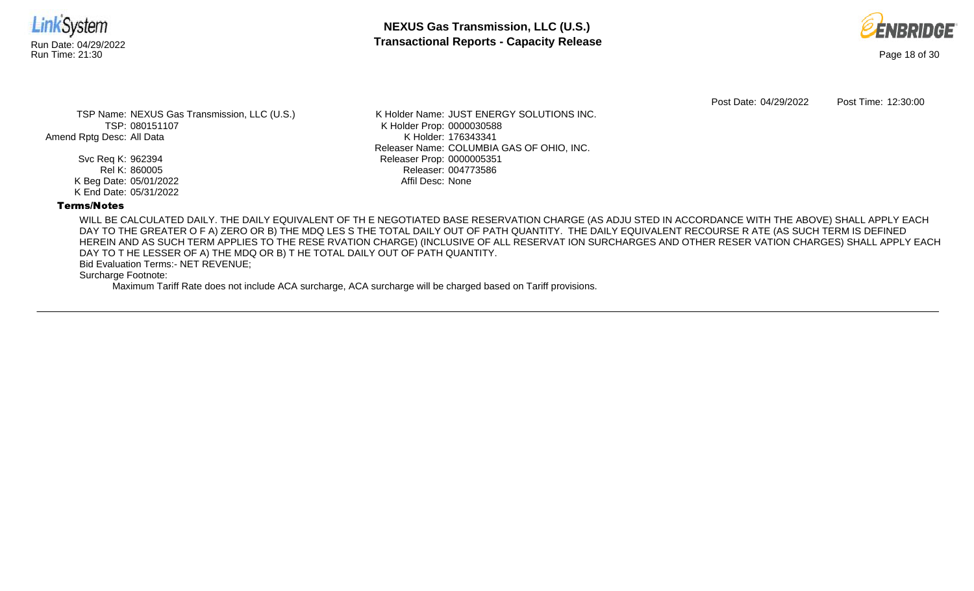



Post Date: 04/29/2022 Post Time: 12:30:00

TSP Name: NEXUS Gas Transmission, LLC (U.S.) TSP: 080151107 Amend Rptg Desc: All Data

> Svc Req K: 962394 Rel K: 860005 K Beg Date: 05/01/2022 K End Date: 05/31/2022

K Holder Name: JUST ENERGY SOLUTIONS INC. K Holder Prop: 0000030588 K Holder: 176343341 Releaser Name: COLUMBIA GAS OF OHIO, INC. Releaser Prop: 0000005351 Releaser: 004773586 Affil Desc: None

### Terms/Notes

WILL BE CALCULATED DAILY. THE DAILY EQUIVALENT OF TH E NEGOTIATED BASE RESERVATION CHARGE (AS ADJU STED IN ACCORDANCE WITH THE ABOVE) SHALL APPLY EACH DAY TO THE GREATER O F A) ZERO OR B) THE MDQ LES S THE TOTAL DAILY OUT OF PATH QUANTITY. THE DAILY EQUIVALENT RECOURSE R ATE (AS SUCH TERM IS DEFINED HEREIN AND AS SUCH TERM APPLIES TO THE RESE RVATION CHARGE) (INCLUSIVE OF ALL RESERVAT ION SURCHARGES AND OTHER RESER VATION CHARGES) SHALL APPLY EACH DAY TO T HE LESSER OF A) THE MDQ OR B) T HE TOTAL DAILY OUT OF PATH QUANTITY.

Bid Evaluation Terms:- NET REVENUE;

Surcharge Footnote: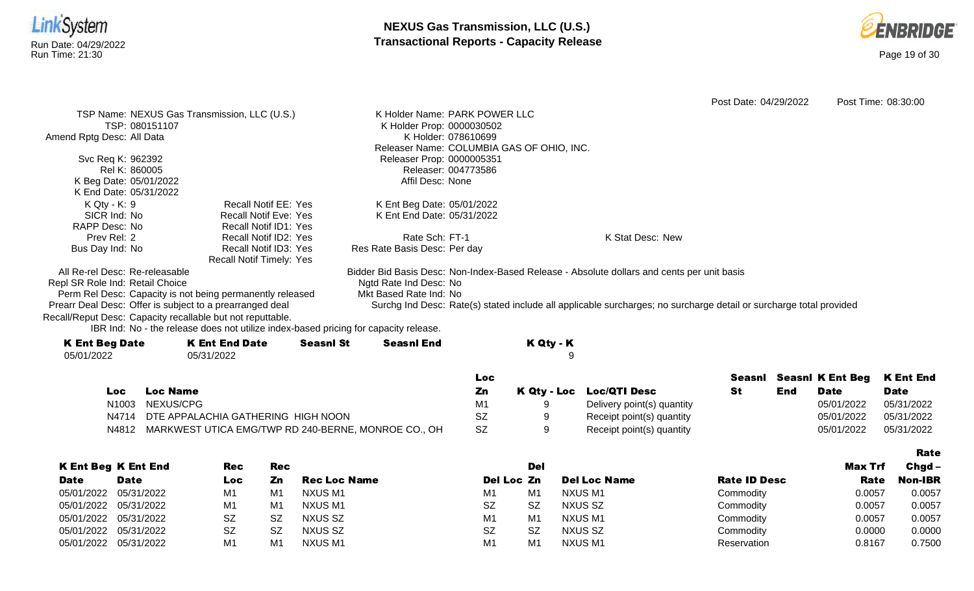



|                                                            |                 |                                                       |                  |                                                                                      |                     |                                           |                                                                                                                    | Post Date: 04/29/2022 |     |                         | Post Time: 08:30:00 |
|------------------------------------------------------------|-----------------|-------------------------------------------------------|------------------|--------------------------------------------------------------------------------------|---------------------|-------------------------------------------|--------------------------------------------------------------------------------------------------------------------|-----------------------|-----|-------------------------|---------------------|
|                                                            |                 | TSP Name: NEXUS Gas Transmission, LLC (U.S.)          |                  | K Holder Name: PARK POWER LLC                                                        |                     |                                           |                                                                                                                    |                       |     |                         |                     |
| TSP: 080151107                                             |                 |                                                       |                  | K Holder Prop: 0000030502                                                            |                     |                                           |                                                                                                                    |                       |     |                         |                     |
| Amend Rptg Desc: All Data                                  |                 |                                                       |                  |                                                                                      | K Holder: 078610699 |                                           |                                                                                                                    |                       |     |                         |                     |
|                                                            |                 |                                                       |                  |                                                                                      |                     | Releaser Name: COLUMBIA GAS OF OHIO, INC. |                                                                                                                    |                       |     |                         |                     |
| Svc Req K: 962392                                          |                 |                                                       |                  | Releaser Prop: 0000005351                                                            |                     |                                           |                                                                                                                    |                       |     |                         |                     |
| Rel K: 860005                                              |                 |                                                       |                  |                                                                                      | Releaser: 004773586 |                                           |                                                                                                                    |                       |     |                         |                     |
| K Beg Date: 05/01/2022                                     |                 |                                                       |                  | Affil Desc: None                                                                     |                     |                                           |                                                                                                                    |                       |     |                         |                     |
| K End Date: 05/31/2022                                     |                 |                                                       |                  |                                                                                      |                     |                                           |                                                                                                                    |                       |     |                         |                     |
| $K Qty - K: 9$                                             |                 | <b>Recall Notif EE: Yes</b>                           |                  | K Ent Beg Date: 05/01/2022                                                           |                     |                                           |                                                                                                                    |                       |     |                         |                     |
| SICR Ind: No<br>RAPP Desc: No                              |                 | <b>Recall Notif Eve: Yes</b><br>Recall Notif ID1: Yes |                  | K Ent End Date: 05/31/2022                                                           |                     |                                           |                                                                                                                    |                       |     |                         |                     |
| Prev Rel: 2                                                |                 | Recall Notif ID2: Yes                                 |                  | Rate Sch: FT-1                                                                       |                     |                                           | K Stat Desc: New                                                                                                   |                       |     |                         |                     |
| Bus Day Ind: No                                            |                 | Recall Notif ID3: Yes                                 |                  | Res Rate Basis Desc: Per day                                                         |                     |                                           |                                                                                                                    |                       |     |                         |                     |
|                                                            |                 | <b>Recall Notif Timely: Yes</b>                       |                  |                                                                                      |                     |                                           |                                                                                                                    |                       |     |                         |                     |
| All Re-rel Desc: Re-releasable                             |                 |                                                       |                  |                                                                                      |                     |                                           | Bidder Bid Basis Desc: Non-Index-Based Release - Absolute dollars and cents per unit basis                         |                       |     |                         |                     |
| Repl SR Role Ind: Retail Choice                            |                 |                                                       |                  | Ngtd Rate Ind Desc: No                                                               |                     |                                           |                                                                                                                    |                       |     |                         |                     |
| Perm Rel Desc: Capacity is not being permanently released  |                 |                                                       |                  | Mkt Based Rate Ind: No                                                               |                     |                                           |                                                                                                                    |                       |     |                         |                     |
| Prearr Deal Desc: Offer is subject to a prearranged deal   |                 |                                                       |                  |                                                                                      |                     |                                           | Surchg Ind Desc: Rate(s) stated include all applicable surcharges; no surcharge detail or surcharge total provided |                       |     |                         |                     |
| Recall/Reput Desc: Capacity recallable but not reputtable. |                 |                                                       |                  |                                                                                      |                     |                                           |                                                                                                                    |                       |     |                         |                     |
|                                                            |                 |                                                       |                  | IBR Ind: No - the release does not utilize index-based pricing for capacity release. |                     |                                           |                                                                                                                    |                       |     |                         |                     |
| <b>K Ent Beg Date</b>                                      |                 | <b>K Ent End Date</b>                                 | <b>Seasnl St</b> | <b>Seasnl End</b>                                                                    |                     | K Qty - K                                 |                                                                                                                    |                       |     |                         |                     |
| 05/01/2022                                                 |                 | 05/31/2022                                            |                  |                                                                                      |                     | 9                                         |                                                                                                                    |                       |     |                         |                     |
|                                                            |                 |                                                       |                  |                                                                                      | Loc                 |                                           |                                                                                                                    | Seasnl                |     | <b>Seasnl K Ent Beg</b> | <b>K</b> Ent End    |
| <b>Loc</b>                                                 | <b>Loc Name</b> |                                                       |                  |                                                                                      |                     |                                           | <b>Loc/QTI Desc</b>                                                                                                | <b>St</b>             | End | <b>Date</b>             | <b>Date</b>         |
|                                                            |                 |                                                       |                  |                                                                                      | Zn                  | K Qty - Loc                               |                                                                                                                    |                       |     |                         |                     |
| N <sub>1003</sub>                                          | NEXUS/CPG       |                                                       |                  |                                                                                      | M1                  |                                           | Delivery point(s) quantity                                                                                         |                       |     | 05/01/2022              | 05/31/2022          |
| N4714                                                      |                 | DTE APPALACHIA GATHERING HIGH NOON                    |                  |                                                                                      | <b>SZ</b>           |                                           | Receipt point(s) quantity                                                                                          |                       |     | 05/01/2022              | 05/31/2022          |
| N4812                                                      |                 |                                                       |                  | MARKWEST UTICA EMG/TWP RD 240-BERNE, MONROE CO., OH                                  | <b>SZ</b>           | 9                                         | Receipt point(s) quantity                                                                                          |                       |     | 05/01/2022              | 05/31/2022          |

|                       |                            |           |           |                     |                |                |                     |                     |                | <b>Rate</b>    |
|-----------------------|----------------------------|-----------|-----------|---------------------|----------------|----------------|---------------------|---------------------|----------------|----------------|
|                       | <b>K Ent Beg K Ent End</b> | Rec       | Rec       |                     |                | Del            |                     |                     | <b>Max Trf</b> | $Chgd -$       |
| <b>Date</b>           | <b>Date</b>                | Loc       | Zn        | <b>Rec Loc Name</b> | Del Loc Zn     |                | <b>Del Loc Name</b> | <b>Rate ID Desc</b> | Rate           | <b>Non-IBR</b> |
| 05/01/2022            | 05/31/2022                 | M1        | M1        | NXUS M1             | M1             | M1             | NXUS M1             | Commodity           | 0.0057         | 0.0057         |
| 05/01/2022 05/31/2022 |                            | M1        | M1        | NXUS M1             | <b>SZ</b>      | -SZ            | NXUS SZ             | Commodity           | 0.0057         | 0.0057         |
| 05/01/2022 05/31/2022 |                            | <b>SZ</b> | <b>SZ</b> | NXUS SZ             | M <sub>1</sub> | M <sub>1</sub> | NXUS M1             | Commodity           | 0.0057         | 0.0057         |
| 05/01/2022 05/31/2022 |                            | <b>SZ</b> | <b>SZ</b> | NXUS SZ             | <b>SZ</b>      | -SZ            | NXUS SZ             | Commodity           | 0.000C         | 0.0000         |
| 05/01/2022            | 05/31/2022                 |           | M1        | NXUS M1             | M <sub>1</sub> | M <sub>1</sub> | NXUS M1             | Reservation         | 0.8167         | 0.7500         |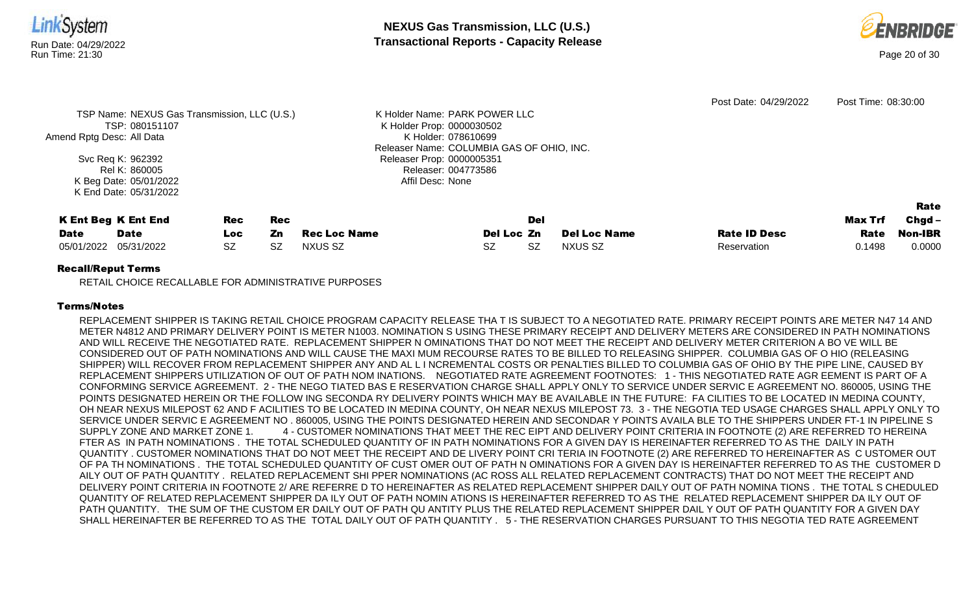



| TSP Name: NEXUS Gas Transmission, LLC (U.S.)<br>TSP: 080151107<br>Amend Rptg Desc: All Data<br>Svc Req K: 962392<br>Rel K: 860005<br>K Beg Date: 05/01/2022 |                          |                               | K Holder Name: PARK POWER LLC<br>K Holder Prop: 0000030502<br>K Holder: 078610699<br>Releaser Name: COLUMBIA GAS OF OHIO, INC.<br>Releaser Prop: 0000005351<br>Releaser: 004773586<br>Affil Desc: None |                                      |     |                                | Post Date: 04/29/2022              | Post Time: 08:30:00       |                                              |
|-------------------------------------------------------------------------------------------------------------------------------------------------------------|--------------------------|-------------------------------|--------------------------------------------------------------------------------------------------------------------------------------------------------------------------------------------------------|--------------------------------------|-----|--------------------------------|------------------------------------|---------------------------|----------------------------------------------|
| K End Date: 05/31/2022<br><b>K Ent Beg K Ent End</b><br><b>Date</b><br><b>Date</b><br>05/01/2022<br>05/31/2022                                              | Rec<br>Loc.<br><b>SZ</b> | <b>Rec</b><br>Zn<br><b>SZ</b> | <b>Rec Loc Name</b><br>NXUS SZ                                                                                                                                                                         | Del Loc Zn<br><b>SZ</b><br><b>SZ</b> | Del | <b>Del Loc Name</b><br>NXUS SZ | <b>Rate ID Desc</b><br>Reservation | Max Trf<br>Rate<br>0.1498 | Rate<br>$Chgd -$<br><b>Non-IBR</b><br>0.0000 |

RETAIL CHOICE RECALLABLE FOR ADMINISTRATIVE PURPOSES

## Terms/Notes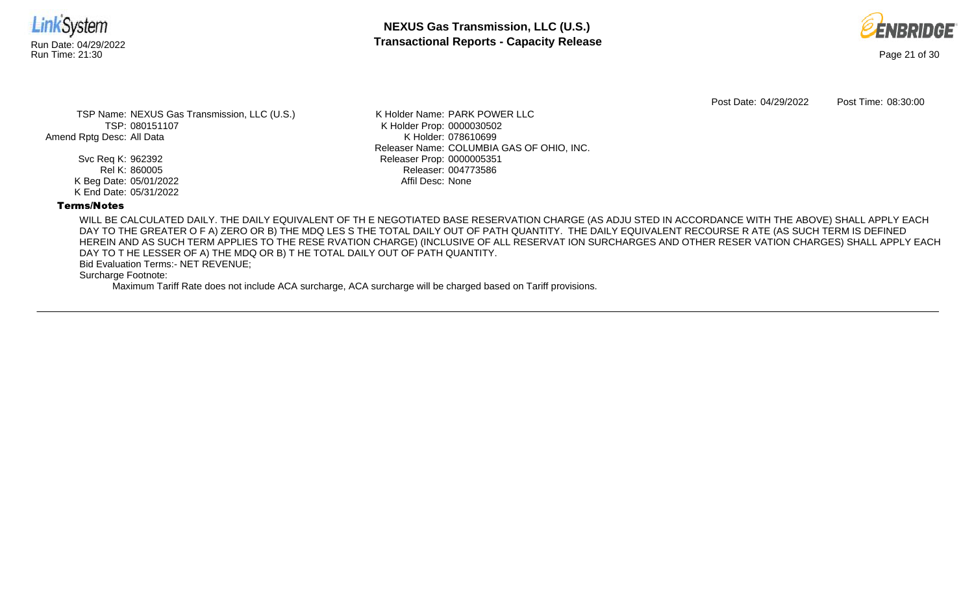

![](_page_20_Picture_2.jpeg)

Post Date: 04/29/2022 Post Time: 08:30:00

TSP Name: NEXUS Gas Transmission, LLC (U.S.) TSP: 080151107 Amend Rptg Desc: All Data

> Svc Req K: 962392 Rel K: 860005 K Beg Date: 05/01/2022 K End Date: 05/31/2022

K Holder Name: PARK POWER LLC K Holder Prop: 0000030502 K Holder: 078610699 Releaser Name: COLUMBIA GAS OF OHIO, INC. Releaser Prop: 0000005351 Releaser: 004773586 Affil Desc: None

### Terms/Notes

WILL BE CALCULATED DAILY. THE DAILY EQUIVALENT OF TH E NEGOTIATED BASE RESERVATION CHARGE (AS ADJU STED IN ACCORDANCE WITH THE ABOVE) SHALL APPLY EACH DAY TO THE GREATER O F A) ZERO OR B) THE MDQ LES S THE TOTAL DAILY OUT OF PATH QUANTITY. THE DAILY EQUIVALENT RECOURSE R ATE (AS SUCH TERM IS DEFINED HEREIN AND AS SUCH TERM APPLIES TO THE RESE RVATION CHARGE) (INCLUSIVE OF ALL RESERVAT ION SURCHARGES AND OTHER RESER VATION CHARGES) SHALL APPLY EACH DAY TO T HE LESSER OF A) THE MDQ OR B) T HE TOTAL DAILY OUT OF PATH QUANTITY.

Bid Evaluation Terms:- NET REVENUE;

Surcharge Footnote: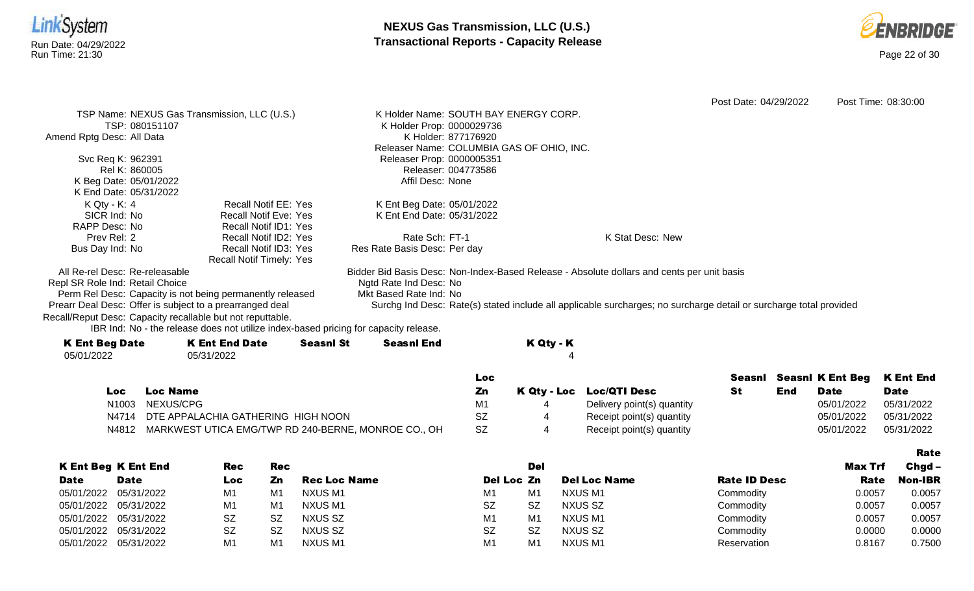![](_page_21_Picture_0.jpeg)

![](_page_21_Picture_2.jpeg)

|                                                            |                                                                                      |                  |                              |                                                                                            | Post Date: 04/29/2022                                                                                              | Post Time: 08:30:00 |
|------------------------------------------------------------|--------------------------------------------------------------------------------------|------------------|------------------------------|--------------------------------------------------------------------------------------------|--------------------------------------------------------------------------------------------------------------------|---------------------|
|                                                            | TSP Name: NEXUS Gas Transmission, LLC (U.S.)                                         |                  |                              | K Holder Name: SOUTH BAY ENERGY CORP.                                                      |                                                                                                                    |                     |
| TSP: 080151107                                             |                                                                                      |                  | K Holder Prop: 0000029736    |                                                                                            |                                                                                                                    |                     |
| Amend Rptg Desc: All Data                                  |                                                                                      |                  |                              | K Holder: 877176920                                                                        |                                                                                                                    |                     |
|                                                            |                                                                                      |                  |                              | Releaser Name: COLUMBIA GAS OF OHIO, INC.                                                  |                                                                                                                    |                     |
| Svc Req K: 962391                                          |                                                                                      |                  | Releaser Prop: 0000005351    |                                                                                            |                                                                                                                    |                     |
| Rel K: 860005                                              |                                                                                      |                  |                              | Releaser: 004773586                                                                        |                                                                                                                    |                     |
| K Beg Date: 05/01/2022                                     |                                                                                      |                  | Affil Desc: None             |                                                                                            |                                                                                                                    |                     |
| K End Date: 05/31/2022                                     |                                                                                      |                  |                              |                                                                                            |                                                                                                                    |                     |
| $K Qty - K: 4$                                             | <b>Recall Notif EE: Yes</b>                                                          |                  | K Ent Beg Date: 05/01/2022   |                                                                                            |                                                                                                                    |                     |
| SICR Ind: No                                               | Recall Notif Eve: Yes                                                                |                  | K Ent End Date: 05/31/2022   |                                                                                            |                                                                                                                    |                     |
| RAPP Desc: No                                              | Recall Notif ID1: Yes                                                                |                  |                              |                                                                                            |                                                                                                                    |                     |
| Prev Rel: 2                                                | Recall Notif ID2: Yes                                                                |                  | Rate Sch: FT-1               |                                                                                            | K Stat Desc: New                                                                                                   |                     |
| Bus Day Ind: No                                            | Recall Notif ID3: Yes                                                                |                  | Res Rate Basis Desc: Per day |                                                                                            |                                                                                                                    |                     |
|                                                            | Recall Notif Timely: Yes                                                             |                  |                              |                                                                                            |                                                                                                                    |                     |
| All Re-rel Desc: Re-releasable                             |                                                                                      |                  |                              | Bidder Bid Basis Desc: Non-Index-Based Release - Absolute dollars and cents per unit basis |                                                                                                                    |                     |
| Repl SR Role Ind: Retail Choice                            |                                                                                      |                  | Ngtd Rate Ind Desc: No       |                                                                                            |                                                                                                                    |                     |
| Perm Rel Desc: Capacity is not being permanently released  |                                                                                      |                  | Mkt Based Rate Ind: No       |                                                                                            |                                                                                                                    |                     |
| Prearr Deal Desc: Offer is subject to a prearranged deal   |                                                                                      |                  |                              |                                                                                            | Surchg Ind Desc: Rate(s) stated include all applicable surcharges; no surcharge detail or surcharge total provided |                     |
| Recall/Reput Desc: Capacity recallable but not reputtable. |                                                                                      |                  |                              |                                                                                            |                                                                                                                    |                     |
|                                                            | IBR Ind: No - the release does not utilize index-based pricing for capacity release. |                  |                              |                                                                                            |                                                                                                                    |                     |
| <b>K Ent Beg Date</b>                                      | <b>K Ent End Date</b>                                                                | <b>Seasnl St</b> | <b>Seasnl End</b>            | K Qty - K                                                                                  |                                                                                                                    |                     |
| 05/01/2022                                                 | 05/31/2022                                                                           |                  |                              |                                                                                            |                                                                                                                    |                     |

|       |                                                     | Loc |                            | Seasnl |     | Seasni K Ent Beg K Ent End |            |
|-------|-----------------------------------------------------|-----|----------------------------|--------|-----|----------------------------|------------|
| LOC.  | Loc Name                                            |     | K Qty - Loc Loc/QTI Desc   | St     | End | <b>Date</b>                | Date       |
|       | N1003 NEXUS/CPG                                     | M1  | Delivery point(s) quantity |        |     | 05/01/2022                 | 05/31/2022 |
|       | N4714 DTE APPALACHIA GATHERING HIGH NOON            |     | Receipt point(s) quantity  |        |     | 05/01/2022                 | 05/31/2022 |
| N4812 | MARKWEST UTICA EMG/TWP RD 240-BERNE, MONROE CO., OH | SZ  | Receipt point(s) quantity  |        |     | 05/01/2022                 | 05/31/2022 |

|                       |                            |           |           |                     |                |                |                     |                     |                | Rate           |
|-----------------------|----------------------------|-----------|-----------|---------------------|----------------|----------------|---------------------|---------------------|----------------|----------------|
|                       | <b>K Ent Beg K Ent End</b> | Rec       | Rec       |                     |                | Del            |                     |                     | <b>Max Trf</b> | $Chgd -$       |
| <b>Date</b>           | <b>Date</b>                | Loc       | Zn        | <b>Rec Loc Name</b> | Del Loc Zn     |                | <b>Del Loc Name</b> | <b>Rate ID Desc</b> | Rate           | <b>Non-IBR</b> |
| 05/01/2022            | 05/31/2022                 | M1        | M1        | NXUS M1             | M1             | M <sub>1</sub> | NXUS M1             | Commodity           | 0.0057         | 0.0057         |
| 05/01/2022 05/31/2022 |                            | M1        | M1        | NXUS M1             | <b>SZ</b>      | <b>SZ</b>      | NXUS SZ             | Commodity           | 0.0057         | 0.0057         |
| 05/01/2022 05/31/2022 |                            | SZ        | .SZ       | NXUS SZ             | M <sub>1</sub> | M <sub>1</sub> | NXUS M1             | Commodity           | 0.0057         | 0.0057         |
|                       | 05/01/2022 05/31/2022      | <b>SZ</b> | <b>SZ</b> | NXUS SZ             | <b>SZ</b>      | <b>SZ</b>      | NXUS SZ             | Commodity           | 0.0000         | 0.0000         |
| 05/01/2022 05/31/2022 |                            | M1        | M1        | NXUS M1             | M <sub>1</sub> | M <sub>1</sub> | NXUS M1             | Reservation         | 0.8167         | 0.7500         |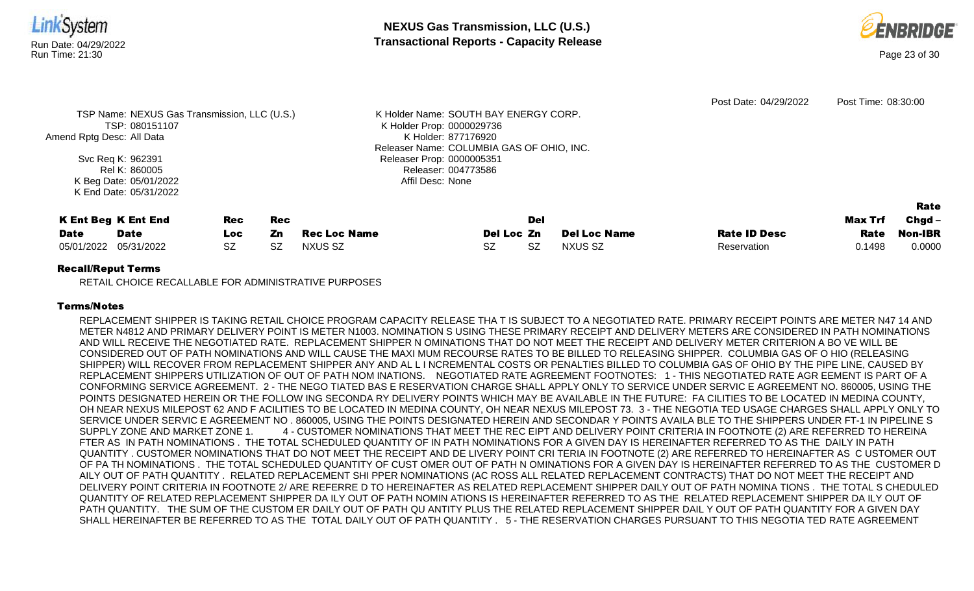![](_page_22_Picture_0.jpeg)

![](_page_22_Picture_2.jpeg)

|                           |                                              |           |            |              |                                           |     |                     | Post Date: 04/29/2022 | Post Time: 08:30:00 |                |
|---------------------------|----------------------------------------------|-----------|------------|--------------|-------------------------------------------|-----|---------------------|-----------------------|---------------------|----------------|
|                           | TSP Name: NEXUS Gas Transmission, LLC (U.S.) |           |            |              | K Holder Name: SOUTH BAY ENERGY CORP.     |     |                     |                       |                     |                |
|                           | TSP: 080151107                               |           |            |              | K Holder Prop: 0000029736                 |     |                     |                       |                     |                |
| Amend Rptg Desc: All Data |                                              |           |            |              | K Holder: 877176920                       |     |                     |                       |                     |                |
|                           |                                              |           |            |              | Releaser Name: COLUMBIA GAS OF OHIO, INC. |     |                     |                       |                     |                |
|                           | Svc Req K: 962391                            |           |            |              | Releaser Prop: 0000005351                 |     |                     |                       |                     |                |
|                           | Rel K: 860005                                |           |            |              | Releaser: 004773586                       |     |                     |                       |                     |                |
|                           | K Beg Date: 05/01/2022                       |           |            |              | Affil Desc: None                          |     |                     |                       |                     |                |
|                           | K End Date: 05/31/2022                       |           |            |              |                                           |     |                     |                       |                     |                |
|                           |                                              |           |            |              |                                           |     |                     |                       |                     | Rate           |
|                           | <b>K Ent Beg K Ent End</b>                   | Rec       | <b>Rec</b> |              |                                           | Del |                     |                       | Max Trf             | $Chgd -$       |
| <b>Date</b>               | <b>Date</b>                                  | Loc       | Zn         | Rec Loc Name | Del Loc Zn                                |     | <b>Del Loc Name</b> | <b>Rate ID Desc</b>   | Rate                | <b>Non-IBR</b> |
| 05/01/2022                | 05/31/2022                                   | <b>SZ</b> | <b>SZ</b>  | NXUS SZ      | SZ                                        | SZ. | NXUS SZ             | Reservation           | 0.1498              | 0.0000         |
|                           |                                              |           |            |              |                                           |     |                     |                       |                     |                |

RETAIL CHOICE RECALLABLE FOR ADMINISTRATIVE PURPOSES

## Terms/Notes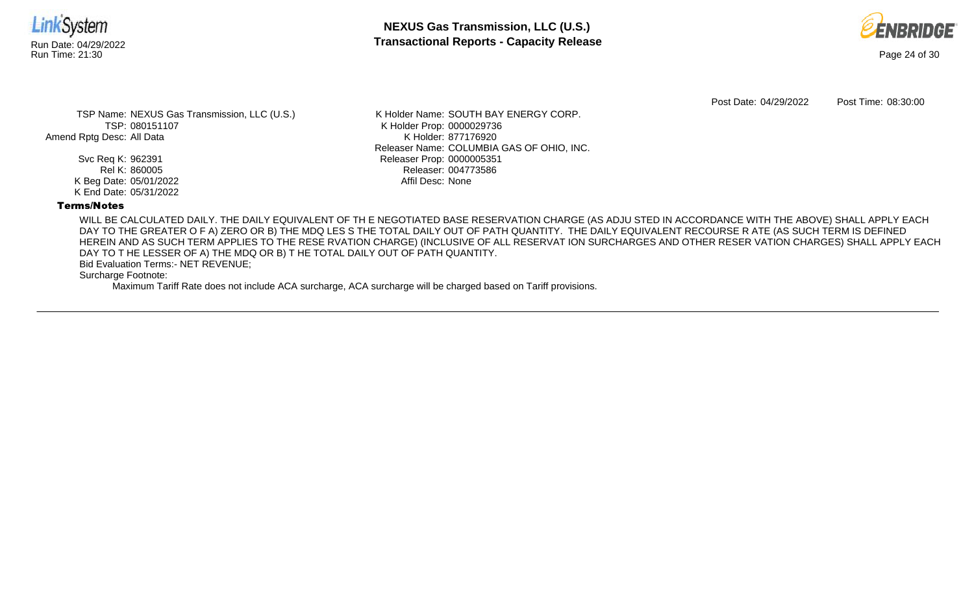![](_page_23_Picture_0.jpeg)

![](_page_23_Picture_2.jpeg)

Post Date: 04/29/2022 Post Time: 08:30:00

TSP Name: NEXUS Gas Transmission, LLC (U.S.) TSP: 080151107 Amend Rptg Desc: All Data

> Svc Req K: 962391 Rel K: 860005 K Beg Date: 05/01/2022 K End Date: 05/31/2022

K Holder Name: SOUTH BAY ENERGY CORP. K Holder Prop: 0000029736 K Holder: 877176920 Releaser Name: COLUMBIA GAS OF OHIO, INC. Releaser Prop: 0000005351 Releaser: 004773586 Affil Desc: None

#### Terms/Notes

WILL BE CALCULATED DAILY. THE DAILY EQUIVALENT OF TH E NEGOTIATED BASE RESERVATION CHARGE (AS ADJU STED IN ACCORDANCE WITH THE ABOVE) SHALL APPLY EACH DAY TO THE GREATER O F A) ZERO OR B) THE MDQ LES S THE TOTAL DAILY OUT OF PATH QUANTITY. THE DAILY EQUIVALENT RECOURSE R ATE (AS SUCH TERM IS DEFINED HEREIN AND AS SUCH TERM APPLIES TO THE RESE RVATION CHARGE) (INCLUSIVE OF ALL RESERVAT ION SURCHARGES AND OTHER RESER VATION CHARGES) SHALL APPLY EACH DAY TO T HE LESSER OF A) THE MDQ OR B) T HE TOTAL DAILY OUT OF PATH QUANTITY.

Bid Evaluation Terms:- NET REVENUE;

Surcharge Footnote: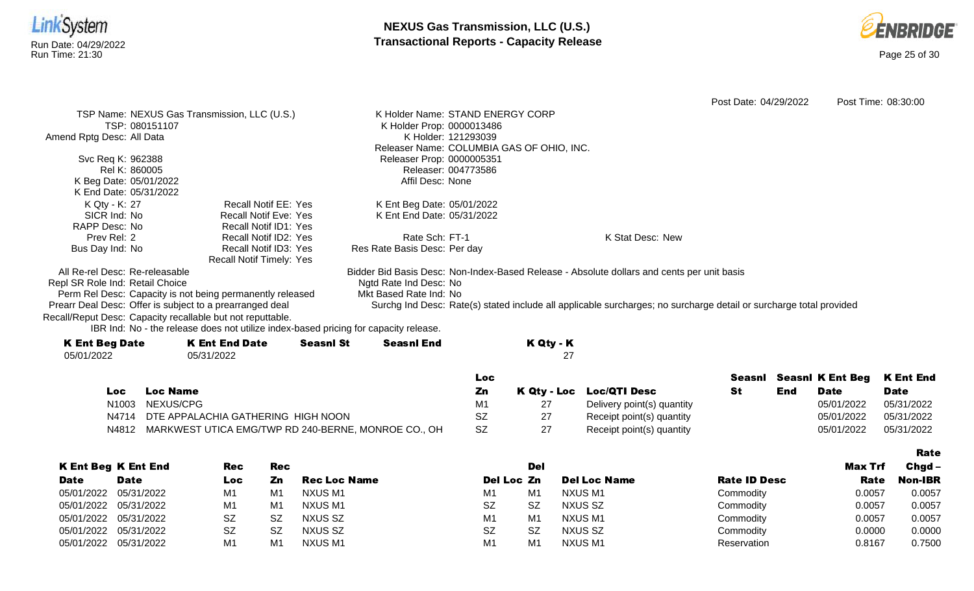![](_page_24_Picture_0.jpeg)

![](_page_24_Picture_2.jpeg)

|                                                                                      |                                                          |                                           |                     |                    |                                                                                                                    | Post Date: 04/29/2022 |     |                                | Post Time: 08:30:00 |
|--------------------------------------------------------------------------------------|----------------------------------------------------------|-------------------------------------------|---------------------|--------------------|--------------------------------------------------------------------------------------------------------------------|-----------------------|-----|--------------------------------|---------------------|
| TSP Name: NEXUS Gas Transmission, LLC (U.S.)                                         |                                                          | K Holder Name: STAND ENERGY CORP          |                     |                    |                                                                                                                    |                       |     |                                |                     |
| TSP: 080151107                                                                       |                                                          | K Holder Prop: 0000013486                 |                     |                    |                                                                                                                    |                       |     |                                |                     |
| Amend Rptg Desc: All Data                                                            |                                                          |                                           | K Holder: 121293039 |                    |                                                                                                                    |                       |     |                                |                     |
|                                                                                      |                                                          | Releaser Name: COLUMBIA GAS OF OHIO, INC. |                     |                    |                                                                                                                    |                       |     |                                |                     |
| Svc Req K: 962388                                                                    |                                                          | Releaser Prop: 0000005351                 |                     |                    |                                                                                                                    |                       |     |                                |                     |
| Rel K: 860005                                                                        |                                                          |                                           | Releaser: 004773586 |                    |                                                                                                                    |                       |     |                                |                     |
| K Beg Date: 05/01/2022                                                               |                                                          | Affil Desc: None                          |                     |                    |                                                                                                                    |                       |     |                                |                     |
| K End Date: 05/31/2022                                                               |                                                          |                                           |                     |                    |                                                                                                                    |                       |     |                                |                     |
| K Qty - K: 27                                                                        | <b>Recall Notif EE: Yes</b>                              | K Ent Beg Date: 05/01/2022                |                     |                    |                                                                                                                    |                       |     |                                |                     |
| SICR Ind: No                                                                         | <b>Recall Notif Eve: Yes</b>                             | K Ent End Date: 05/31/2022                |                     |                    |                                                                                                                    |                       |     |                                |                     |
| RAPP Desc: No                                                                        | <b>Recall Notif ID1: Yes</b>                             |                                           |                     |                    |                                                                                                                    |                       |     |                                |                     |
| Prev Rel: 2                                                                          | <b>Recall Notif ID2: Yes</b>                             | Rate Sch: FT-1                            |                     |                    | K Stat Desc: New                                                                                                   |                       |     |                                |                     |
| Bus Day Ind: No                                                                      | <b>Recall Notif ID3: Yes</b><br>Recall Notif Timely: Yes | Res Rate Basis Desc: Per day              |                     |                    |                                                                                                                    |                       |     |                                |                     |
| All Re-rel Desc: Re-releasable                                                       |                                                          |                                           |                     |                    | Bidder Bid Basis Desc: Non-Index-Based Release - Absolute dollars and cents per unit basis                         |                       |     |                                |                     |
| Repl SR Role Ind: Retail Choice                                                      |                                                          | Ngtd Rate Ind Desc: No                    |                     |                    |                                                                                                                    |                       |     |                                |                     |
| Perm Rel Desc: Capacity is not being permanently released                            |                                                          | Mkt Based Rate Ind: No                    |                     |                    |                                                                                                                    |                       |     |                                |                     |
| Prearr Deal Desc: Offer is subject to a prearranged deal                             |                                                          |                                           |                     |                    | Surchg Ind Desc: Rate(s) stated include all applicable surcharges; no surcharge detail or surcharge total provided |                       |     |                                |                     |
| Recall/Reput Desc: Capacity recallable but not reputtable.                           |                                                          |                                           |                     |                    |                                                                                                                    |                       |     |                                |                     |
| IBR Ind: No - the release does not utilize index-based pricing for capacity release. |                                                          |                                           |                     |                    |                                                                                                                    |                       |     |                                |                     |
| <b>K Ent End Date</b>                                                                | <b>Seasnl St</b>                                         | <b>Seasnl End</b>                         |                     |                    |                                                                                                                    |                       |     |                                |                     |
| <b>K Ent Beg Date</b>                                                                |                                                          |                                           |                     | K Qty - K          |                                                                                                                    |                       |     |                                |                     |
| 05/01/2022<br>05/31/2022                                                             |                                                          |                                           |                     | 27                 |                                                                                                                    |                       |     |                                |                     |
|                                                                                      |                                                          |                                           | <b>Loc</b>          |                    |                                                                                                                    |                       |     | <b>Seasni</b> Seasni K Ent Beg | <b>K Ent End</b>    |
| <b>Loc Name</b><br><b>Loc</b>                                                        |                                                          |                                           | Zn                  | <b>K Qty - Loc</b> | <b>Loc/QTI Desc</b>                                                                                                | <b>St</b>             | End | <b>Date</b>                    | <b>Date</b>         |
| NEXUS/CPG<br>N <sub>1003</sub>                                                       |                                                          |                                           | M <sub>1</sub>      | 27                 | Delivery point(s) quantity                                                                                         |                       |     | 05/01/2022                     | 05/31/2022          |
| N4714                                                                                | DTE APPALACHIA GATHERING HIGH NOON                       |                                           | <b>SZ</b>           | 27                 |                                                                                                                    |                       |     | 05/01/2022                     | 05/31/2022          |
|                                                                                      |                                                          |                                           |                     |                    | Receipt point(s) quantity                                                                                          |                       |     |                                |                     |
| N4812                                                                                | MARKWEST UTICA EMG/TWP RD 240-BERNE, MONROE CO., OH      |                                           | <b>SZ</b>           | 27                 | Receipt point(s) quantity                                                                                          |                       |     | 05/01/2022                     | 05/31/2022          |
|                                                                                      |                                                          |                                           |                     |                    |                                                                                                                    |                       |     |                                | Rate                |

|             | <b>K Ent Beg K Ent End</b> | Rec  | Rec       |                     |                | <b>Del</b>     |                     |                     | Max Trf | $Chgd -$ |
|-------------|----------------------------|------|-----------|---------------------|----------------|----------------|---------------------|---------------------|---------|----------|
| <b>Date</b> | <b>Date</b>                | Loc. | Zn        | <b>Rec Loc Name</b> | Del Loc Zn     |                | <b>Del Loc Name</b> | <b>Rate ID Desc</b> | Rate    | Non-IBR  |
| 05/01/2022  | 05/31/2022                 | M1   | M1        | NXUS M1             | M1             | M1             | NXUS M1             | Commodity           | 0.0057  | 0.0057   |
| 05/01/2022  | 05/31/2022                 | M1   | M1        | NXUS M1             | <b>SZ</b>      | <b>SZ</b>      | NXUS SZ             | Commodity           | 0.0057  | 0.0057   |
| 05/01/2022  | 05/31/2022                 | SZ.  | <b>SZ</b> | <b>NXUS SZ</b>      | M <sub>1</sub> | M <sub>1</sub> | NXUS M1             | Commodity           | 0.0057  | 0.0057   |
| 05/01/2022  | 05/31/2022                 | SZ   | <b>SZ</b> | NXUS SZ             | <b>SZ</b>      | <b>SZ</b>      | NXUS SZ             | Commodity           | 0.0000  | 0.0000   |
| 05/01/2022  | 05/31/2022                 | M1   | M1        | NXUS M1             | M1             | M <sub>1</sub> | NXUS M1             | Reservation         | 0.8167  | 0.7500   |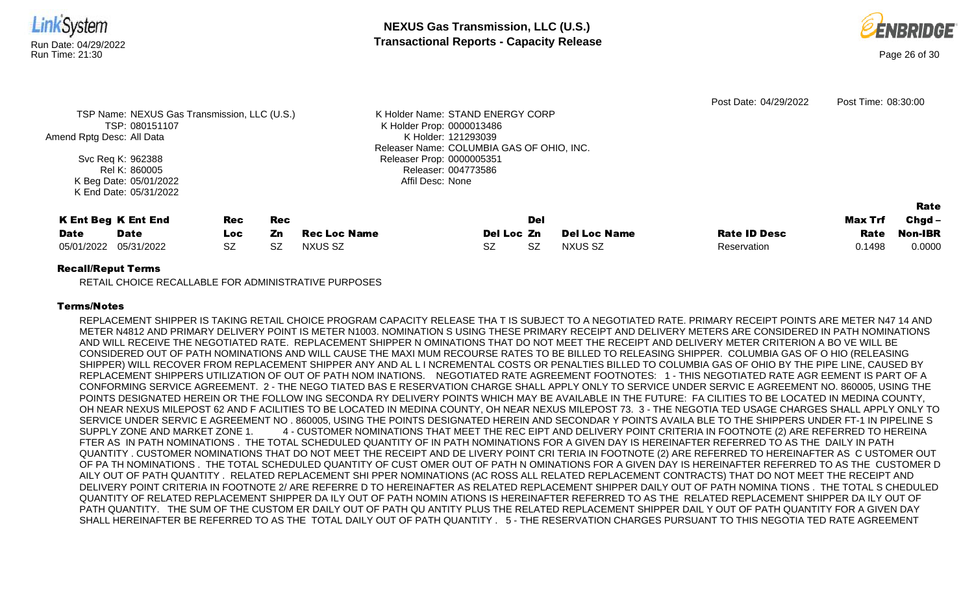![](_page_25_Picture_0.jpeg)

![](_page_25_Picture_2.jpeg)

| Amend Rptg Desc: All Data | TSP Name: NEXUS Gas Transmission, LLC (U.S.)<br>TSP: 080151107<br>Svc Req K: 962388<br>Rel K: 860005 |           |            |                     | K Holder Name: STAND ENERGY CORP<br>K Holder Prop: 0000013486<br>K Holder: 121293039<br>Releaser Name: COLUMBIA GAS OF OHIO, INC.<br>Releaser Prop: 0000005351<br>Releaser: 004773586 |                     | Post Date: 04/29/2022 | Post Time: 08:30:00 |                |
|---------------------------|------------------------------------------------------------------------------------------------------|-----------|------------|---------------------|---------------------------------------------------------------------------------------------------------------------------------------------------------------------------------------|---------------------|-----------------------|---------------------|----------------|
|                           | K Beg Date: 05/01/2022                                                                               |           |            |                     | Affil Desc: None                                                                                                                                                                      |                     |                       |                     |                |
|                           | K End Date: 05/31/2022                                                                               |           |            |                     |                                                                                                                                                                                       |                     |                       |                     |                |
|                           |                                                                                                      |           |            |                     |                                                                                                                                                                                       |                     |                       |                     | Rate           |
|                           | <b>K Ent Beg K Ent End</b>                                                                           | Rec       | <b>Rec</b> |                     | Del                                                                                                                                                                                   |                     |                       | Max Trf             | $Chgd -$       |
| <b>Date</b>               | <b>Date</b>                                                                                          | Loc.      | Zn         | <b>Rec Loc Name</b> | Del Loc Zn                                                                                                                                                                            | <b>Del Loc Name</b> | <b>Rate ID Desc</b>   | Rate                | <b>Non-IBR</b> |
| 05/01/2022                | 05/31/2022                                                                                           | <b>SZ</b> | <b>SZ</b>  | NXUS SZ             | <b>SZ</b><br>SZ.                                                                                                                                                                      | NXUS SZ             | Reservation           | 0.1498              | 0.0000         |
| _ ___ _                   |                                                                                                      |           |            |                     |                                                                                                                                                                                       |                     |                       |                     |                |

RETAIL CHOICE RECALLABLE FOR ADMINISTRATIVE PURPOSES

## Terms/Notes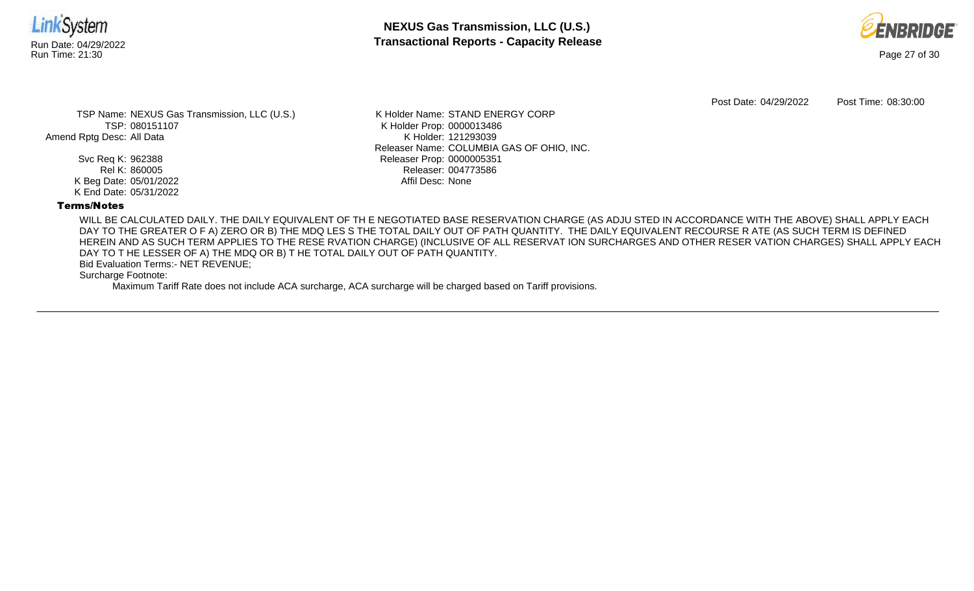![](_page_26_Picture_0.jpeg)

![](_page_26_Picture_2.jpeg)

Post Date: 04/29/2022 Post Time: 08:30:00

TSP Name: NEXUS Gas Transmission, LLC (U.S.) TSP: 080151107 Amend Rptg Desc: All Data

> Svc Req K: 962388 Rel K: 860005 K Beg Date: 05/01/2022 K End Date: 05/31/2022

K Holder Name: STAND ENERGY CORP K Holder Prop: 0000013486 K Holder: 121293039 Releaser Name: COLUMBIA GAS OF OHIO, INC. Releaser Prop: 0000005351 Releaser: 004773586 Affil Desc: None

#### Terms/Notes

WILL BE CALCULATED DAILY. THE DAILY EQUIVALENT OF TH E NEGOTIATED BASE RESERVATION CHARGE (AS ADJU STED IN ACCORDANCE WITH THE ABOVE) SHALL APPLY EACH DAY TO THE GREATER O F A) ZERO OR B) THE MDQ LES S THE TOTAL DAILY OUT OF PATH QUANTITY. THE DAILY EQUIVALENT RECOURSE R ATE (AS SUCH TERM IS DEFINED HEREIN AND AS SUCH TERM APPLIES TO THE RESE RVATION CHARGE) (INCLUSIVE OF ALL RESERVAT ION SURCHARGES AND OTHER RESER VATION CHARGES) SHALL APPLY EACH DAY TO T HE LESSER OF A) THE MDQ OR B) T HE TOTAL DAILY OUT OF PATH QUANTITY.

Bid Evaluation Terms:- NET REVENUE;

Surcharge Footnote: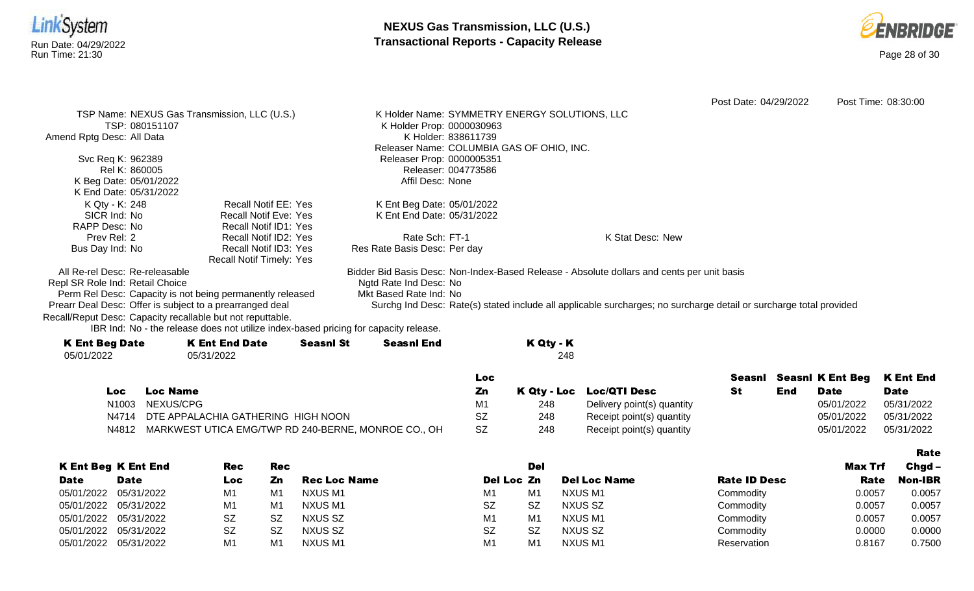![](_page_27_Picture_0.jpeg)

![](_page_27_Picture_2.jpeg)

|                                                            |                                                                                      |                  |                              |                                                                                            |                  | Post Date: 04/29/2022                                                                                              | Post Time: 08:30:00 |
|------------------------------------------------------------|--------------------------------------------------------------------------------------|------------------|------------------------------|--------------------------------------------------------------------------------------------|------------------|--------------------------------------------------------------------------------------------------------------------|---------------------|
|                                                            | TSP Name: NEXUS Gas Transmission, LLC (U.S.)                                         |                  |                              | K Holder Name: SYMMETRY ENERGY SOLUTIONS, LLC                                              |                  |                                                                                                                    |                     |
| TSP: 080151107                                             |                                                                                      |                  | K Holder Prop: 0000030963    |                                                                                            |                  |                                                                                                                    |                     |
| Amend Rptg Desc: All Data                                  |                                                                                      |                  | K Holder: 838611739          |                                                                                            |                  |                                                                                                                    |                     |
|                                                            |                                                                                      |                  |                              | Releaser Name: COLUMBIA GAS OF OHIO, INC.                                                  |                  |                                                                                                                    |                     |
| Svc Req K: 962389                                          |                                                                                      |                  | Releaser Prop: 0000005351    |                                                                                            |                  |                                                                                                                    |                     |
| Rel K: 860005                                              |                                                                                      |                  | Releaser: 004773586          |                                                                                            |                  |                                                                                                                    |                     |
| K Beg Date: 05/01/2022                                     |                                                                                      |                  | Affil Desc: None             |                                                                                            |                  |                                                                                                                    |                     |
| K End Date: 05/31/2022                                     |                                                                                      |                  |                              |                                                                                            |                  |                                                                                                                    |                     |
| K Qty - K: 248                                             | Recall Notif EE: Yes                                                                 |                  | K Ent Beg Date: 05/01/2022   |                                                                                            |                  |                                                                                                                    |                     |
| SICR Ind: No                                               | Recall Notif Eve: Yes                                                                |                  | K Ent End Date: 05/31/2022   |                                                                                            |                  |                                                                                                                    |                     |
| RAPP Desc: No                                              | Recall Notif ID1: Yes                                                                |                  |                              |                                                                                            |                  |                                                                                                                    |                     |
| Prev Rel: 2                                                | Recall Notif ID2: Yes                                                                |                  | Rate Sch: FT-1               |                                                                                            | K Stat Desc: New |                                                                                                                    |                     |
| Bus Day Ind: No                                            | Recall Notif ID3: Yes                                                                |                  | Res Rate Basis Desc: Per day |                                                                                            |                  |                                                                                                                    |                     |
|                                                            | <b>Recall Notif Timely: Yes</b>                                                      |                  |                              |                                                                                            |                  |                                                                                                                    |                     |
| All Re-rel Desc: Re-releasable                             |                                                                                      |                  |                              | Bidder Bid Basis Desc: Non-Index-Based Release - Absolute dollars and cents per unit basis |                  |                                                                                                                    |                     |
| Repl SR Role Ind: Retail Choice                            |                                                                                      |                  | Ngtd Rate Ind Desc: No       |                                                                                            |                  |                                                                                                                    |                     |
|                                                            | Perm Rel Desc: Capacity is not being permanently released                            |                  | Mkt Based Rate Ind: No       |                                                                                            |                  |                                                                                                                    |                     |
| Prearr Deal Desc: Offer is subject to a prearranged deal   |                                                                                      |                  |                              |                                                                                            |                  | Surchg Ind Desc: Rate(s) stated include all applicable surcharges; no surcharge detail or surcharge total provided |                     |
| Recall/Reput Desc: Capacity recallable but not reputtable. |                                                                                      |                  |                              |                                                                                            |                  |                                                                                                                    |                     |
|                                                            | IBR Ind: No - the release does not utilize index-based pricing for capacity release. |                  |                              |                                                                                            |                  |                                                                                                                    |                     |
| <b>K Ent Beg Date</b>                                      | <b>K Ent End Date</b>                                                                | <b>Seasnl St</b> | <b>Seasnl End</b>            | K Qty - K                                                                                  |                  |                                                                                                                    |                     |

05/01/2022 05/31/2022 05/31/2022 248

|                |                                                           | Loc |     |                            | Seasnl |     | Seasni K Ent Beg K Ent End |             |
|----------------|-----------------------------------------------------------|-----|-----|----------------------------|--------|-----|----------------------------|-------------|
| $\overline{C}$ | <b>Loc Name</b>                                           | Zn  |     | K Qty - Loc Loc/QTI Desc   |        | End | Date                       | <b>Date</b> |
|                | N1003 NEXUS/CPG                                           |     | 248 | Delivery point(s) quantity |        |     | 05/01/2022                 | 05/31/2022  |
|                | N4714 DTE APPALACHIA GATHERING HIGH NOON                  | SZ  | 248 | Receipt point(s) quantity  |        |     | 05/01/2022                 | 05/31/2022  |
|                | N4812 MARKWEST UTICA EMG/TWP RD 240-BERNE, MONROE CO., OH | SZ  | 248 | Receipt point(s) quantity  |        |     | 05/01/2022                 | 05/31/2022  |

|             |                            |                |     |                     |                |                |                     |                     |         | Rate           |
|-------------|----------------------------|----------------|-----|---------------------|----------------|----------------|---------------------|---------------------|---------|----------------|
|             | <b>K Ent Beg K Ent End</b> | Rec            | Rec |                     |                | <b>Del</b>     |                     |                     | Max Trf | $Chgd -$       |
| <b>Date</b> | <b>Date</b>                | Loc            | Zn. | <b>Rec Loc Name</b> | Del Loc Zn     |                | <b>Del Loc Name</b> | <b>Rate ID Desc</b> | Rate    | <b>Non-IBR</b> |
| 05/01/2022  | 05/31/2022                 | M1             | M1  | NXUS M1             | M1             | M <sub>1</sub> | NXUS M1             | Commodity           | 0.0057  | 0.0057         |
| 05/01/2022  | 05/31/2022                 | M <sub>1</sub> | M1  | NXUS M1             | <b>SZ</b>      | SZ             | NXUS SZ             | Commodity           | 0.0057  | 0.0057         |
| 05/01/2022  | 05/31/2022                 | <b>SZ</b>      | -SZ | NXUS SZ             | M <sub>1</sub> | M1             | NXUS M1             | Commodity           | 0.0057  | 0.0057         |
| 05/01/2022  | 05/31/2022                 | <b>SZ</b>      | -SZ | NXUS SZ             | <b>SZ</b>      | SZ             | NXUS SZ             | Commodity           | 0.0000  | 0.0000         |
| 05/01/2022  | 05/31/2022                 | M <sub>1</sub> | M1  | NXUS M1             | M1             | M1             | NXUS M1             | Reservation         | 0.8167  | 0.7500         |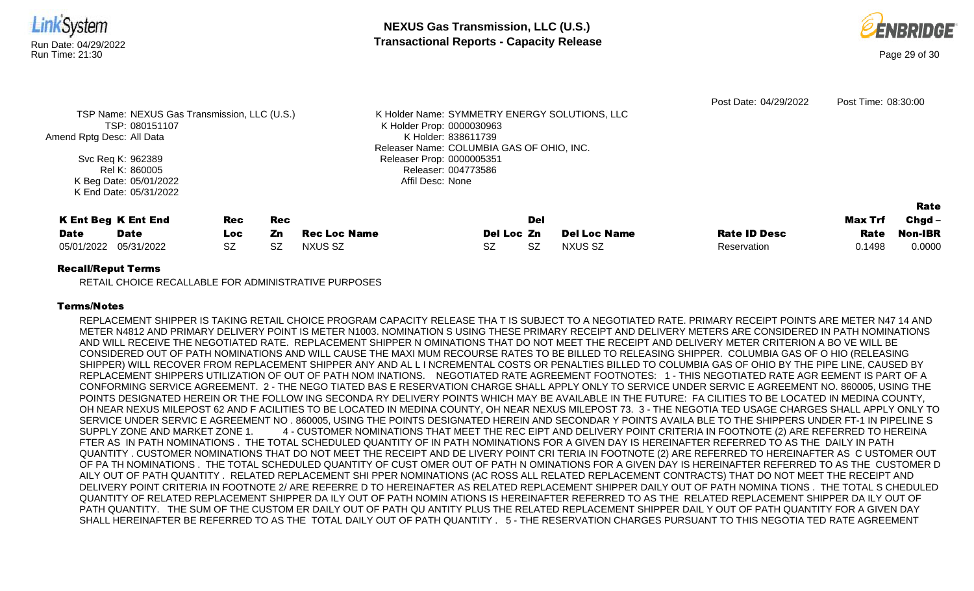![](_page_28_Picture_0.jpeg)

RETAIL CHOICE RECALLABLE FOR ADMINISTRATIVE PURPOSES

### Terms/Notes